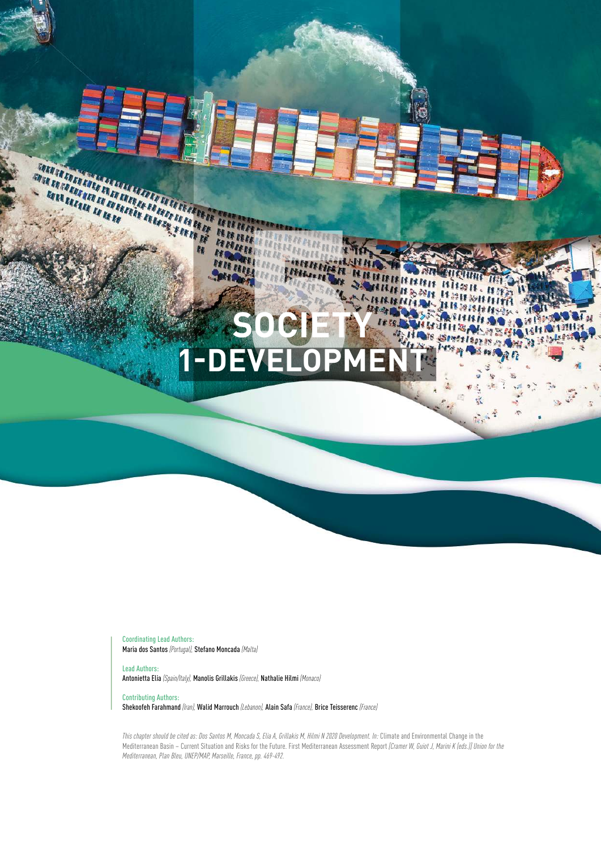# 1-DEVELOP **SOCIETY**

**Brats** 

Coordinating Lead Authors: Maria dos Santos *(Portugal),* Stefano Moncada *(Malta)*

Lead Authors: Antonietta Elia *(Spain/Italy),* Manolis Grillakis *(Greece),* Nathalie Hilmi *(Monaco)*

Contributing Authors: Shekoofeh Farahmand *(Iran),* Walid Marrouch *(Lebanon),* Alain Safa *(France),* Brice Teisserenc *(France)* 

*This chapter should be cited as: Dos Santos M, Moncada S, Elia A, Grillakis M, Hilmi N 2020 Development. In:* Climate and Environmental Change in the Mediterranean Basin – Current Situation and Risks for the Future. First Mediterranean Assessment Report *[Cramer W, Guiot J, Marini K (eds.)] Union for the Mediterranean, Plan Bleu, UNEP/MAP, Marseille, France, pp. 469-492.*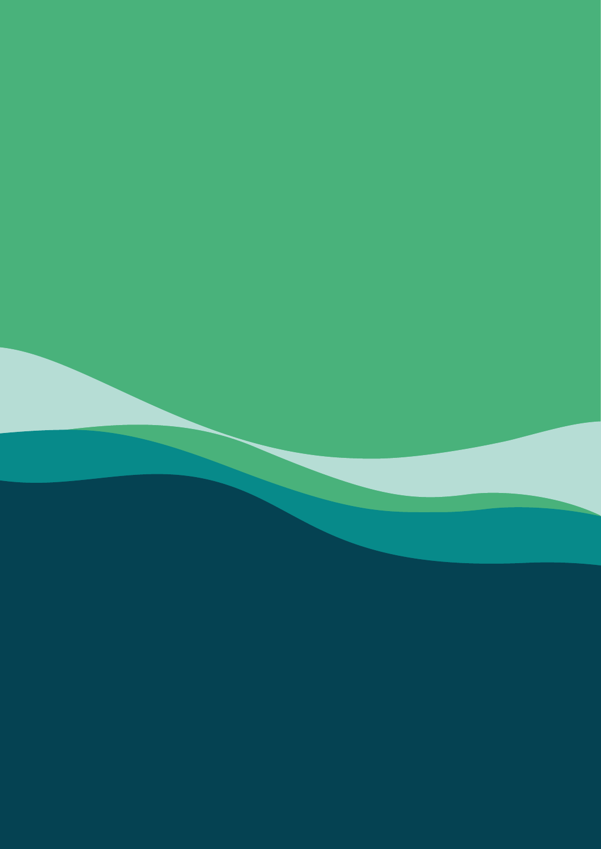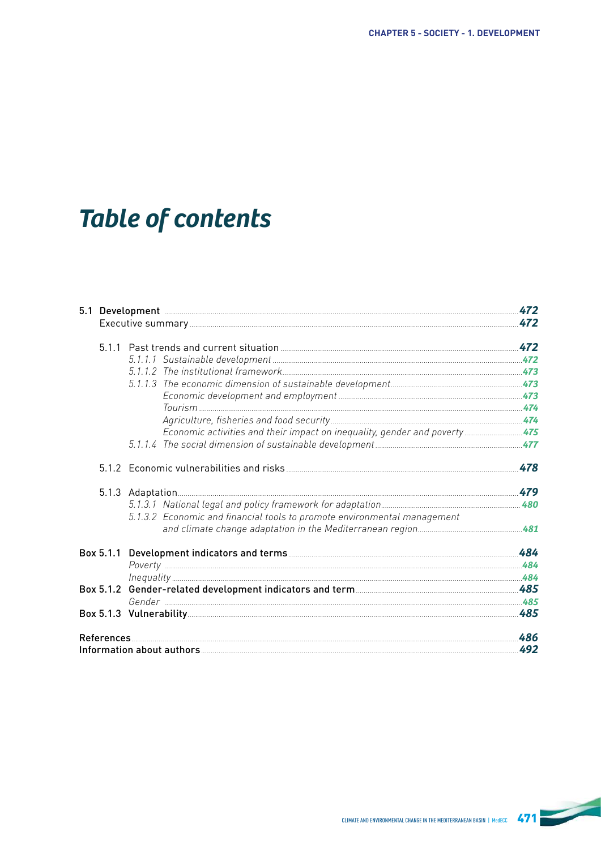# **Table of contents**

| 479            |
|----------------|
|                |
|                |
|                |
|                |
|                |
|                |
|                |
|                |
|                |
| References 486 |
|                |
|                |

 $\overline{\phantom{0}}$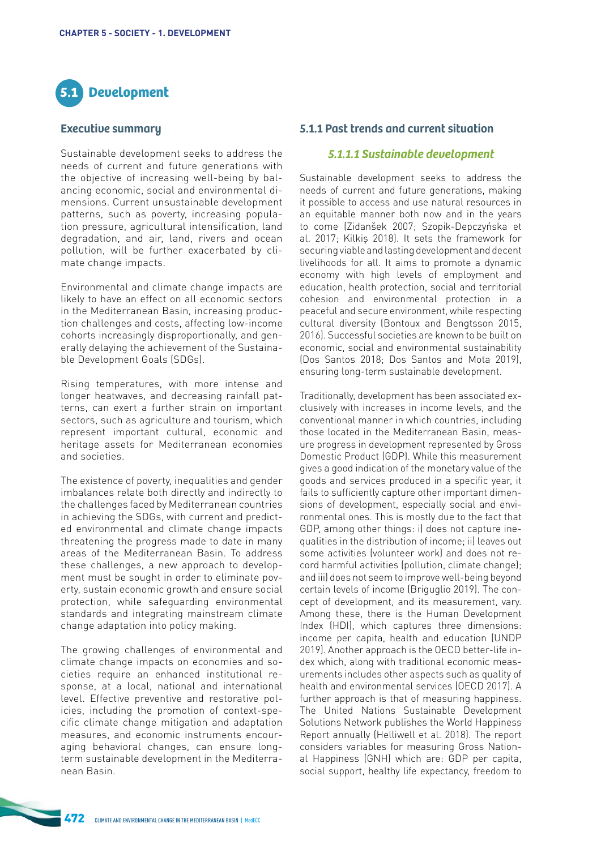<span id="page-3-0"></span>

# **Executive summary**

Sustainable development seeks to address the needs of current and future generations with the objective of increasing well-being by balancing economic, social and environmental dimensions. Current unsustainable development patterns, such as poverty, increasing population pressure, agricultural intensification, land degradation, and air, land, rivers and ocean pollution, will be further exacerbated by climate change impacts.

Environmental and climate change impacts are likely to have an effect on all economic sectors in the Mediterranean Basin, increasing production challenges and costs, affecting low-income cohorts increasingly disproportionally, and generally delaying the achievement of the Sustainable Development Goals (SDGs).

Rising temperatures, with more intense and longer heatwaves, and decreasing rainfall patterns, can exert a further strain on important sectors, such as agriculture and tourism, which represent important cultural, economic and heritage assets for Mediterranean economies and societies.

The existence of poverty, inequalities and gender imbalances relate both directly and indirectly to the challenges faced by Mediterranean countries in achieving the SDGs, with current and predicted environmental and climate change impacts threatening the progress made to date in many areas of the Mediterranean Basin. To address these challenges, a new approach to development must be sought in order to eliminate poverty, sustain economic growth and ensure social protection, while safeguarding environmental standards and integrating mainstream climate change adaptation into policy making.

The growing challenges of environmental and climate change impacts on economies and societies require an enhanced institutional response, at a local, national and international level. Effective preventive and restorative policies, including the promotion of context-specific climate change mitigation and adaptation measures, and economic instruments encouraging behavioral changes, can ensure longterm sustainable development in the Mediterranean Basin.

# **5.1.1 Past trends and current situation**

# **5.1.1.1 Sustainable development**

Sustainable development seeks to address the needs of current and future generations, making it possible to access and use natural resources in an equitable manner both now and in the years to come (Zidanšek 2007; Szopik-Depczyńska et al. 2017; Kilkiş 2018). It sets the framework for securing viable and lasting development and decent livelihoods for all. It aims to promote a dynamic economy with high levels of employment and education, health protection, social and territorial cohesion and environmental protection in a peaceful and secure environment, while respecting cultural diversity (Bontoux and Bengtsson 2015, 2016). Successful societies are known to be built on economic, social and environmental sustainability (Dos Santos 2018; Dos Santos and Mota 2019), ensuring long-term sustainable development.

Traditionally, development has been associated exclusively with increases in income levels, and the conventional manner in which countries, including those located in the Mediterranean Basin, measure progress in development represented by Gross Domestic Product (GDP). While this measurement gives a good indication of the monetary value of the goods and services produced in a specifc year, it fails to sufficiently capture other important dimensions of development, especially social and environmental ones. This is mostly due to the fact that GDP, among other things: i) does not capture inequalities in the distribution of income; ii) leaves out some activities (volunteer work) and does not record harmful activities (pollution, climate change); and iii) does not seem to improve well-being beyond certain levels of income (Briguglio 2019). The concept of development, and its measurement, vary. Among these, there is the Human Development Index (HDI), which captures three dimensions: income per capita, health and education (UNDP 2019). Another approach is the OECD better-life index which, along with traditional economic measurements includes other aspects such as quality of health and environmental services (OECD 2017). A further approach is that of measuring happiness. The United Nations Sustainable Development Solutions Network publishes the World Happiness Report annually (Helliwell et al. 2018). The report considers variables for measuring Gross National Happiness (GNH) which are: GDP per capita, social support, healthy life expectancy, freedom to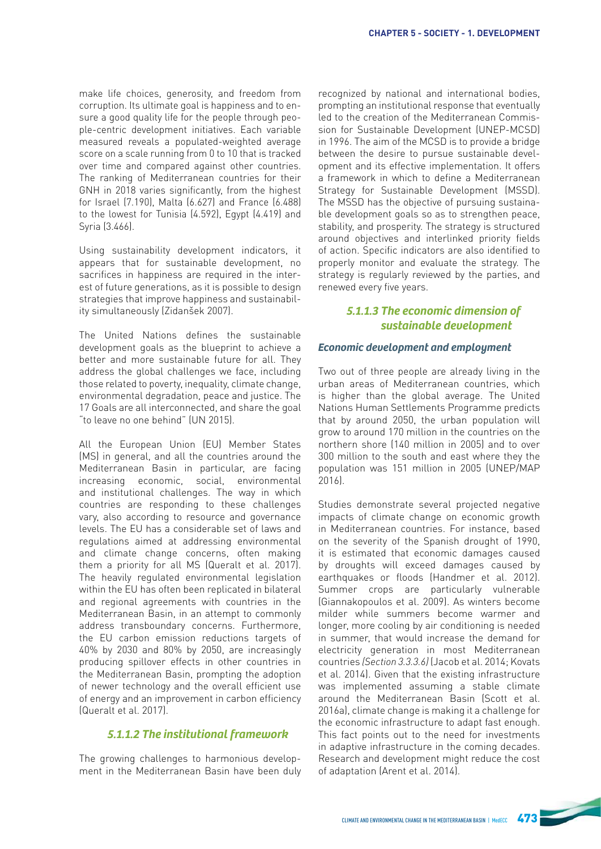<span id="page-4-0"></span>make life choices, generosity, and freedom from corruption. Its ultimate goal is happiness and to ensure a good quality life for the people through people-centric development initiatives. Each variable measured reveals a populated-weighted average score on a scale running from 0 to 10 that is tracked over time and compared against other countries. The ranking of Mediterranean countries for their GNH in 2018 varies significantly, from the highest for Israel (7.190), Malta (6.627) and France (6.488) to the lowest for Tunisia (4.592), Egypt (4.419) and Syria (3.466).

Using sustainability development indicators, it appears that for sustainable development, no sacrifices in happiness are required in the interest of future generations, as it is possible to design strategies that improve happiness and sustainability simultaneously (Zidanšek 2007).

The United Nations defines the sustainable development goals as the blueprint to achieve a better and more sustainable future for all. They address the global challenges we face, including those related to poverty, inequality, climate change, environmental degradation, peace and justice. The 17 Goals are all interconnected, and share the goal "to leave no one behind" (UN 2015).

All the European Union (EU) Member States (MS) in general, and all the countries around the Mediterranean Basin in particular, are facing increasing economic, social, environmental and institutional challenges. The way in which countries are responding to these challenges vary, also according to resource and governance levels. The EU has a considerable set of laws and regulations aimed at addressing environmental and climate change concerns, often making them a priority for all MS (Queralt et al. 2017). The heavily regulated environmental legislation within the EU has often been replicated in bilateral and regional agreements with countries in the Mediterranean Basin, in an attempt to commonly address transboundary concerns. Furthermore, the EU carbon emission reductions targets of 40% by 2030 and 80% by 2050, are increasingly producing spillover effects in other countries in the Mediterranean Basin, prompting the adoption of newer technology and the overall efficient use of energy and an improvement in carbon efficiency (Queralt et al. 2017).

# **5.1.1.2 The institutional framework**

The growing challenges to harmonious development in the Mediterranean Basin have been duly

recognized by national and international bodies, prompting an institutional response that eventually led to the creation of the Mediterranean Commission for Sustainable Development (UNEP-MCSD) in 1996. The aim of the MCSD is to provide a bridge between the desire to pursue sustainable development and its effective implementation. It offers a framework in which to defne a Mediterranean Strategy for Sustainable Development (MSSD). The MSSD has the objective of pursuing sustainable development goals so as to strengthen peace, stability, and prosperity. The strategy is structured around objectives and interlinked priority fields of action. Specific indicators are also identified to properly monitor and evaluate the strategy. The strategy is regularly reviewed by the parties, and renewed every five years.

# **5.1.1.3 The economic dimension of sustainable development**

# **Economic development and employment**

Two out of three people are already living in the urban areas of Mediterranean countries, which is higher than the global average. The United Nations Human Settlements Programme predicts that by around 2050, the urban population will grow to around 170 million in the countries on the northern shore (140 million in 2005) and to over 300 million to the south and east where they the population was 151 million in 2005 (UNEP/MAP 2016).

Studies demonstrate several projected negative impacts of climate change on economic growth in Mediterranean countries. For instance, based on the severity of the Spanish drought of 1990, it is estimated that economic damages caused by droughts will exceed damages caused by earthquakes or floods (Handmer et al. 2012). Summer crops are particularly vulnerable (Giannakopoulos et al. 2009). As winters become milder while summers become warmer and longer, more cooling by air conditioning is needed in summer, that would increase the demand for electricity generation in most Mediterranean countries (Section 3.3.3.6) (Jacob et al. 2014; Kovats et al. 2014). Given that the existing infrastructure was implemented assuming a stable climate around the Mediterranean Basin (Scott et al. 2016a), climate change is making it a challenge for the economic infrastructure to adapt fast enough. This fact points out to the need for investments in adaptive infrastructure in the coming decades. Research and development might reduce the cost of adaptation (Arent et al. 2014).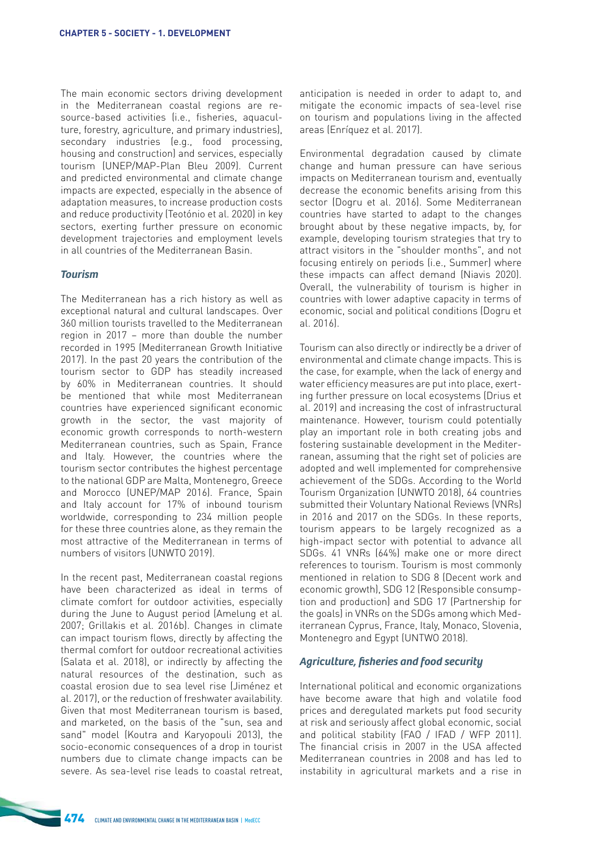<span id="page-5-0"></span>The main economic sectors driving development in the Mediterranean coastal regions are resource-based activities (i.e., fisheries, aquaculture, forestry, agriculture, and primary industries), secondary industries (e.g., food processing, housing and construction) and services, especially tourism (UNEP/MAP-Plan Bleu 2009). Current and predicted environmental and climate change impacts are expected, especially in the absence of adaptation measures, to increase production costs and reduce productivity (Teotónio et al. 2020) in key sectors, exerting further pressure on economic development trajectories and employment levels in all countries of the Mediterranean Basin.

### **Tourism**

The Mediterranean has a rich history as well as exceptional natural and cultural landscapes. Over 360 million tourists travelled to the Mediterranean region in 2017 – more than double the number recorded in 1995 (Mediterranean Growth Initiative 2017). In the past 20 years the contribution of the tourism sector to GDP has steadily increased by 60% in Mediterranean countries. It should be mentioned that while most Mediterranean countries have experienced significant economic growth in the sector, the vast majority of economic growth corresponds to north-western Mediterranean countries, such as Spain, France and Italy. However, the countries where the tourism sector contributes the highest percentage to the national GDP are Malta, Montenegro, Greece and Morocco (UNEP/MAP 2016). France, Spain and Italy account for 17% of inbound tourism worldwide, corresponding to 234 million people for these three countries alone, as they remain the most attractive of the Mediterranean in terms of numbers of visitors (UNWTO 2019).

In the recent past, Mediterranean coastal regions have been characterized as ideal in terms of climate comfort for outdoor activities, especially during the June to August period (Amelung et al. 2007; Grillakis et al. 2016b). Changes in climate can impact tourism flows, directly by affecting the thermal comfort for outdoor recreational activities (Salata et al. 2018), or indirectly by affecting the natural resources of the destination, such as coastal erosion due to sea level rise (Jiménez et al. 2017), or the reduction of freshwater availability. Given that most Mediterranean tourism is based, and marketed, on the basis of the "sun, sea and sand" model (Koutra and Karyopouli 2013), the socio-economic consequences of a drop in tourist numbers due to climate change impacts can be severe. As sea-level rise leads to coastal retreat,

anticipation is needed in order to adapt to, and mitigate the economic impacts of sea-level rise on tourism and populations living in the affected areas (Enríquez et al. 2017).

Environmental degradation caused by climate change and human pressure can have serious impacts on Mediterranean tourism and, eventually decrease the economic benefits arising from this sector (Dogru et al. 2016). Some Mediterranean countries have started to adapt to the changes brought about by these negative impacts, by, for example, developing tourism strategies that try to attract visitors in the "shoulder months", and not focusing entirely on periods (i.e., Summer) where these impacts can affect demand (Niavis 2020). Overall, the vulnerability of tourism is higher in countries with lower adaptive capacity in terms of economic, social and political conditions (Dogru et al. 2016).

Tourism can also directly or indirectly be a driver of environmental and climate change impacts. This is the case, for example, when the lack of energy and water efficiency measures are put into place, exerting further pressure on local ecosystems (Drius et al. 2019) and increasing the cost of infrastructural maintenance. However, tourism could potentially play an important role in both creating jobs and fostering sustainable development in the Mediterranean, assuming that the right set of policies are adopted and well implemented for comprehensive achievement of the SDGs. According to the World Tourism Organization (UNWTO 2018), 64 countries submitted their Voluntary National Reviews (VNRs) in 2016 and 2017 on the SDGs. In these reports, tourism appears to be largely recognized as a high-impact sector with potential to advance all SDGs. 41 VNRs (64%) make one or more direct references to tourism. Tourism is most commonly mentioned in relation to SDG 8 (Decent work and economic growth), SDG 12 (Responsible consumption and production) and SDG 17 (Partnership for the goals) in VNRs on the SDGs among which Mediterranean Cyprus, France, Italy, Monaco, Slovenia, Montenegro and Egypt (UNTWO 2018).

# Agriculture, fsheries and food security

International political and economic organizations have become aware that high and volatile food prices and deregulated markets put food security at risk and seriously affect global economic, social and political stability (FAO / IFAD / WFP 2011). The fnancial crisis in 2007 in the USA affected Mediterranean countries in 2008 and has led to instability in agricultural markets and a rise in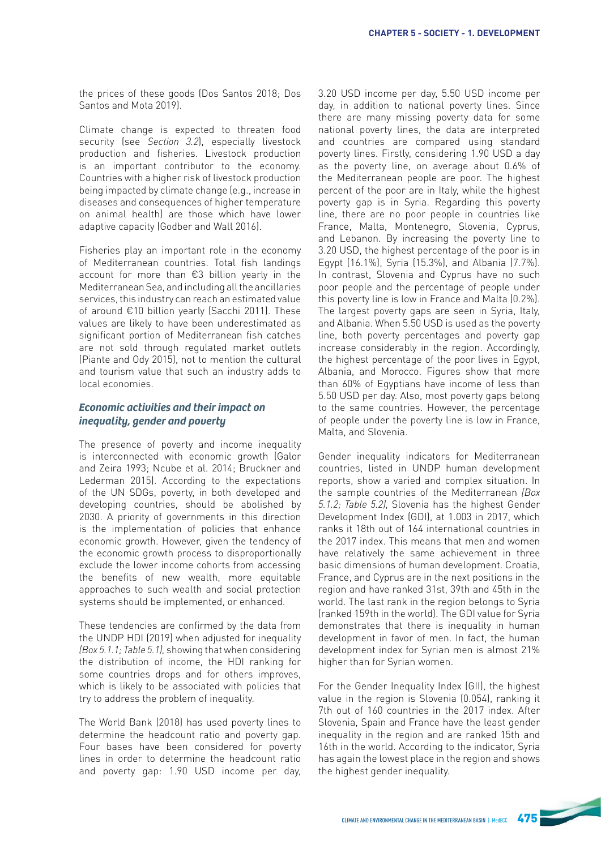<span id="page-6-0"></span>the prices of these goods (Dos Santos 2018; Dos Santos and Mota 2019).

Climate change is expected to threaten food security (see *Section 3.2*), especially livestock production and fisheries. Livestock production is an important contributor to the economy. Countries with a higher risk of livestock production being impacted by climate change (e.g., increase in diseases and consequences of higher temperature on animal health) are those which have lower adaptive capacity (Godber and Wall 2016).

Fisheries play an important role in the economy of Mediterranean countries. Total fish landings account for more than €3 billion yearly in the Mediterranean Sea, and including all the ancillaries services, this industry can reach an estimated value of around €10 billion yearly (Sacchi 2011). These values are likely to have been underestimated as significant portion of Mediterranean fish catches are not sold through regulated market outlets (Piante and Ody 2015), not to mention the cultural and tourism value that such an industry adds to local economies.

# **Economic activities and their impact on inequality, gender and poverty**

The presence of poverty and income inequality is interconnected with economic growth (Galor and Zeira 1993; Ncube et al. 2014; Bruckner and Lederman 2015). According to the expectations of the UN SDGs, poverty, in both developed and developing countries, should be abolished by 2030. A priority of governments in this direction is the implementation of policies that enhance economic growth. However, given the tendency of the economic growth process to disproportionally exclude the lower income cohorts from accessing the benefits of new wealth, more equitable approaches to such wealth and social protection systems should be implemented, or enhanced.

These tendencies are confrmed by the data from the UNDP HDI (2019) when adjusted for inequality (Box 5.1.1; Table 5.1), showing that when considering the distribution of income, the HDI ranking for some countries drops and for others improves, which is likely to be associated with policies that try to address the problem of inequality.

The World Bank (2018) has used poverty lines to determine the headcount ratio and poverty gap. Four bases have been considered for poverty lines in order to determine the headcount ratio and poverty gap: 1.90 USD income per day,

3.20 USD income per day, 5.50 USD income per day, in addition to national poverty lines. Since there are many missing poverty data for some national poverty lines, the data are interpreted and countries are compared using standard poverty lines. Firstly, considering 1.90 USD a day as the poverty line, on average about 0.6% of the Mediterranean people are poor. The highest percent of the poor are in Italy, while the highest poverty gap is in Syria. Regarding this poverty line, there are no poor people in countries like France, Malta, Montenegro, Slovenia, Cyprus, and Lebanon. By increasing the poverty line to 3.20 USD, the highest percentage of the poor is in Egypt (16.1%), Syria (15.3%), and Albania (7.7%). In contrast, Slovenia and Cyprus have no such poor people and the percentage of people under this poverty line is low in France and Malta (0.2%). The largest poverty gaps are seen in Syria, Italy, and Albania. When 5.50 USD is used as the poverty line, both poverty percentages and poverty gap increase considerably in the region. Accordingly, the highest percentage of the poor lives in Egypt, Albania, and Morocco. Figures show that more than 60% of Egyptians have income of less than 5.50 USD per day. Also, most poverty gaps belong to the same countries. However, the percentage of people under the poverty line is low in France, Malta, and Slovenia.

Gender inequality indicators for Mediterranean countries, listed in UNDP human development reports, show a varied and complex situation. In the sample countries of the Mediterranean (Box *5.1.2; Table 5.2),* Slovenia has the highest Gender Development Index (GDI), at 1.003 in 2017, which ranks it 18th out of 164 international countries in the 2017 index. This means that men and women have relatively the same achievement in three basic dimensions of human development. Croatia, France, and Cyprus are in the next positions in the region and have ranked 31st, 39th and 45th in the world. The last rank in the region belongs to Syria (ranked 159th in the world). The GDI value for Syria demonstrates that there is inequality in human development in favor of men. In fact, the human development index for Syrian men is almost 21% higher than for Syrian women.

For the Gender Inequality Index (GII), the highest value in the region is Slovenia (0.054), ranking it 7th out of 160 countries in the 2017 index. After Slovenia, Spain and France have the least gender inequality in the region and are ranked 15th and 16th in the world. According to the indicator, Syria has again the lowest place in the region and shows the highest gender inequality.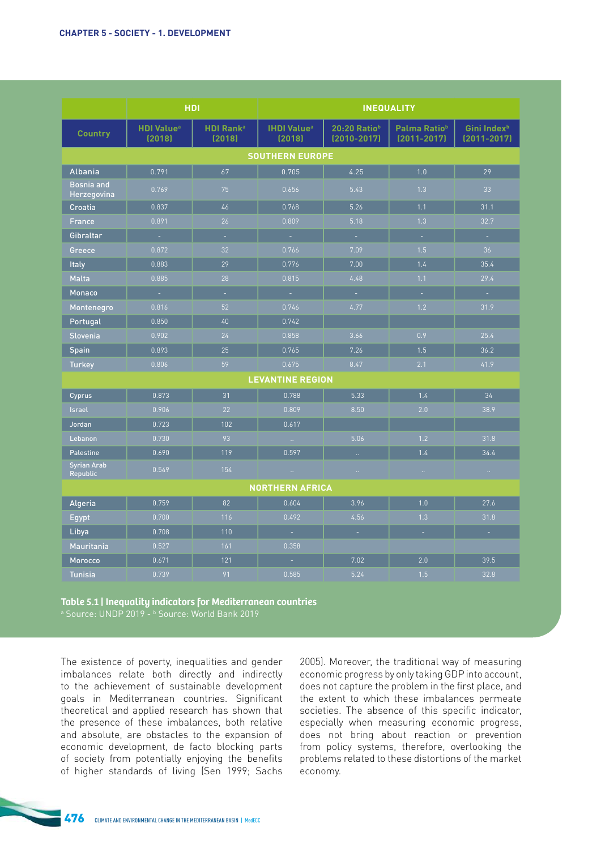|                                  | <b>HDI</b>                              |                            |                                         |                                               | <b>INEQUALITY</b>                           |                                            |  |
|----------------------------------|-----------------------------------------|----------------------------|-----------------------------------------|-----------------------------------------------|---------------------------------------------|--------------------------------------------|--|
| <b>Country</b>                   | <b>HDI Value</b> <sup>a</sup><br>(2018) | <b>HDI Ranka</b><br>(2018) | <b>IHDI Value<sup>a</sup></b><br>[2018] | $20:20$ Ratio <sup>b</sup><br>$(2010 - 2017)$ | Palma Ratio <sup>b</sup><br>$(2011 - 2017)$ | Gini Index <sup>b</sup><br>$(2011 - 2017)$ |  |
| <b>SOUTHERN EUROPE</b>           |                                         |                            |                                         |                                               |                                             |                                            |  |
| Albania                          | 0.791                                   | 67                         | 0.705                                   | 4.25                                          | 1.0                                         | 29                                         |  |
| <b>Bosnia and</b><br>Herzegovina | 0.769                                   | 75                         | 0.656                                   | 5.43                                          | 1.3                                         | 33                                         |  |
| Croatia                          | 0.837                                   | 46                         | 0.768                                   | 5.26                                          | 1.1                                         | 31.1                                       |  |
| <b>France</b>                    | 0.891                                   | 26                         | 0.809                                   | 5.18                                          | 1.3                                         | 32.7                                       |  |
| Gibraltar                        | $\sim$                                  | ×                          | $\sim$                                  | ÷.                                            | ÷,                                          | ÷.                                         |  |
| Greece                           | 0.872                                   | 32                         | 0.766                                   | 7.09                                          | 1.5                                         | 36                                         |  |
| <b>Italy</b>                     | 0.883                                   | 29                         | 0.776                                   | 7.00                                          | 1.4                                         | 35.4                                       |  |
| <b>Malta</b>                     | 0.885                                   | 28                         | 0.815                                   | 4.48                                          | 1.1                                         | 29.4                                       |  |
| <b>Monaco</b>                    | ÷.                                      | ÷                          | ÷.                                      | ÷,                                            | ÷                                           | ÷                                          |  |
| Montenegro                       | 0.816                                   | 52                         | 0.746                                   | 4.77                                          | 1.2                                         | 31.9                                       |  |
| Portugal                         | 0.850                                   | 40                         | 0.742                                   |                                               |                                             |                                            |  |
| <b>Slovenia</b>                  | 0.902                                   | 24                         | 0.858                                   | 3.66                                          | 0.9                                         | 25.4                                       |  |
| <b>Spain</b>                     | 0.893                                   | 25                         | 0.765                                   | 7.26                                          | 1.5                                         | 36.2                                       |  |
| <b>Turkey</b>                    | 0.806                                   | 59                         | 0.675                                   | 8.47                                          | 2.1                                         | 41.9                                       |  |
|                                  |                                         |                            | <b>LEVANTINE REGION</b>                 |                                               |                                             |                                            |  |
| Cyprus                           | 0.873                                   | 31                         | 0.788                                   | 5.33                                          | 1.4                                         | 34                                         |  |
| <b>Israel</b>                    | 0.906                                   | 22                         | 0.809                                   | 8.50                                          | 2.0                                         | 38.9                                       |  |
| Jordan                           | 0.723                                   | 102                        | 0.617                                   |                                               |                                             |                                            |  |
| Lebanon                          | 0.730                                   | 93                         | $\sim$                                  | 5.06                                          | 1.2                                         | 31.8                                       |  |
| <b>Palestine</b>                 | 0.690                                   | 119                        | 0.597                                   | à,                                            | 1.4                                         | 34.4                                       |  |
| <b>Syrian Arab</b><br>Republic   | 0.549                                   | 154                        |                                         | à.                                            | à,                                          | $\bar{\alpha}$                             |  |
|                                  |                                         |                            | <b>NORTHERN AFRICA</b>                  |                                               |                                             |                                            |  |
| Algeria                          | 0.759                                   | 82                         | 0.604                                   | 3.96                                          | 1.0                                         | 27.6                                       |  |
| Egypt                            | 0.700                                   | 116                        | 0.492                                   | 4.56                                          | 1.3                                         | 31.8                                       |  |
| Libya                            | 0.708                                   | 110                        | ÷                                       |                                               |                                             |                                            |  |
| <b>Mauritania</b>                | 0.527                                   | 161                        | 0.358                                   |                                               |                                             |                                            |  |
| Morocco                          | 0.671                                   | 121                        | $\overline{\phantom{a}}$                | 7.02                                          | 2.0                                         | 39.5                                       |  |
| <b>Tunisia</b>                   | 0.739                                   | 91                         | 0.585                                   | 5.24                                          | 1.5                                         | 32.8                                       |  |

### **Table 5.1 | Inequality indicators for Mediterranean countries**

<sup>a</sup> Source: UNDP 2019 - b Source: World Bank 2019

The existence of poverty, inequalities and gender imbalances relate both directly and indirectly to the achievement of sustainable development goals in Mediterranean countries. Significant theoretical and applied research has shown that the presence of these imbalances, both relative and absolute, are obstacles to the expansion of economic development, de facto blocking parts of society from potentially enjoying the benefits of higher standards of living (Sen 1999; Sachs

2005). Moreover, the traditional way of measuring economic progress by only taking GDP into account, does not capture the problem in the first place, and the extent to which these imbalances permeate societies. The absence of this specific indicator, especially when measuring economic progress, does not bring about reaction or prevention from policy systems, therefore, overlooking the problems related to these distortions of the market economy.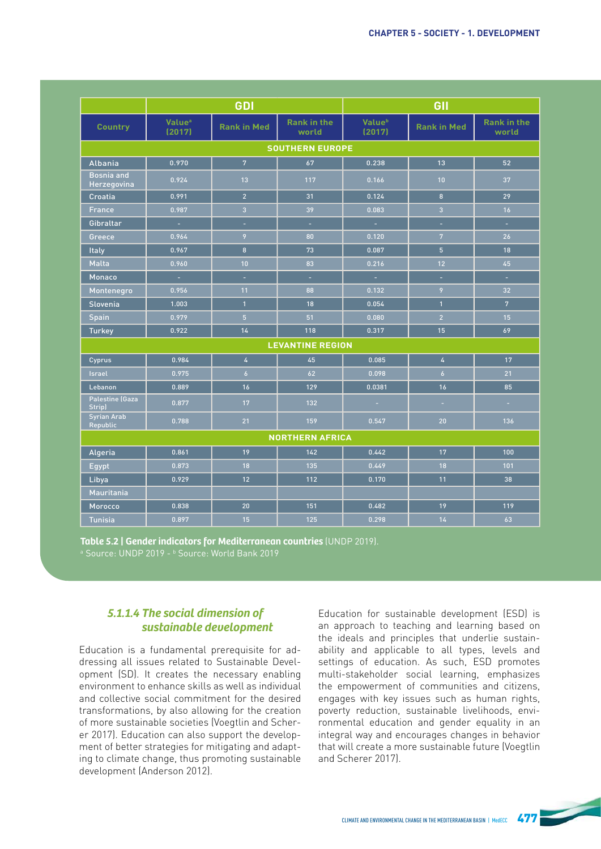<span id="page-8-0"></span>

|                                   | <b>GDI</b>                          |                    |                             | GII                          |                    |                             |  |  |
|-----------------------------------|-------------------------------------|--------------------|-----------------------------|------------------------------|--------------------|-----------------------------|--|--|
| <b>Country</b>                    | <b>Value</b> <sup>a</sup><br>(2017) | <b>Rank in Med</b> | <b>Rank in the</b><br>world | Value <sup>b</sup><br>(2017) | <b>Rank in Med</b> | <b>Rank in the</b><br>world |  |  |
| <b>SOUTHERN EUROPE</b>            |                                     |                    |                             |                              |                    |                             |  |  |
| Albania                           | 0.970                               | $7\overline{ }$    | 67                          | 0.238                        | 13                 | 52                          |  |  |
| <b>Bosnia and</b><br>Herzegovina  | 0.924                               | 13                 | 117                         | 0.166                        | 10                 | 37                          |  |  |
| Croatia                           | 0.991                               | $\overline{2}$     | 31                          | $\overline{0.124}$           | 8                  | 29                          |  |  |
| France                            | 0.987                               | $\overline{3}$     | 39                          | 0.083                        | $\overline{3}$     | 16                          |  |  |
| Gibraltar                         | $\omega$                            | ÷                  | ÷.                          | $\sim$                       | ÷,                 | ÷.                          |  |  |
| Greece                            | 0.964                               | 9                  | 80                          | 0.120                        | $7\overline{ }$    | 26                          |  |  |
| <b>Italy</b>                      | 0.967                               | 8                  | 73                          | 0.087                        | 5 <sub>5</sub>     | 18                          |  |  |
| <b>Malta</b>                      | 0.960                               | 10                 | 83                          | 0.216                        | 12                 | 45                          |  |  |
| Monaco                            | $\mathcal{L}_{\mathcal{A}}$         | ×.                 | ÷.                          | $\sim$                       | ÷.                 | ÷.                          |  |  |
| Montenegro                        | 0.956                               | 11                 | 88                          | 0.132                        | 9                  | 32                          |  |  |
| Slovenia                          | 1.003                               | $\mathbf{1}$       | 18                          | 0.054                        | $\mathbf{1}$       | $\overline{7}$              |  |  |
| <b>Spain</b>                      | 0.979                               | 5 <sup>5</sup>     | 51                          | 0.080                        | 2 <sup>1</sup>     | 15                          |  |  |
| <b>Turkey</b>                     | 0.922                               | 14                 | 118                         | 0.317                        | 15                 | 69                          |  |  |
|                                   |                                     |                    | <b>LEVANTINE REGION</b>     |                              |                    |                             |  |  |
| Cyprus                            | 0.984                               | $\overline{4}$     | 45                          | 0.085                        | $\overline{4}$     | 17                          |  |  |
| <b>Israel</b>                     | 0.975                               | $\overline{6}$     | 62                          | 0.098                        | $\overline{6}$     | 21                          |  |  |
| Lebanon                           | 0.889                               | 16                 | 129                         | 0.0381                       | 16                 | 85                          |  |  |
| <b>Palestine (Gaza)</b><br>Strip) | 0.877                               | 17                 | 132                         | $\sim$                       | ÷.                 | ÷.                          |  |  |
| <b>Syrian Arab</b><br>Republic    | 0.788                               | 21                 | 159                         | 0.547                        | 20 <sup>°</sup>    | 136                         |  |  |
| <b>NORTHERN AFRICA</b>            |                                     |                    |                             |                              |                    |                             |  |  |
| Algeria                           | 0.861                               | 19                 | 142                         | 0.442                        | 17                 | 100                         |  |  |
| Egypt                             | 0.873                               | 18                 | 135                         | 0.449                        | 18                 | 101                         |  |  |
| Libya                             | 0.929                               | 12                 | 112                         | 0.170                        | 11                 | 38                          |  |  |
| Mauritania                        |                                     |                    |                             |                              |                    |                             |  |  |
| Morocco                           | 0.838                               | 20                 | 151                         | 0.482                        | 19                 | 119                         |  |  |
| <b>Tunisia</b>                    | 0.897                               | 15                 | 125                         | 0.298                        | 14                 | 63                          |  |  |

**Table 5.2 | Gender indicators for Mediterranean countries** (UNDP 2019).

<sup>a</sup> Source: UNDP 2019 - b Source: World Bank 2019

# **5.1.1.4 The social dimension of sustainable development**

Education is a fundamental prerequisite for addressing all issues related to Sustainable Development (SD). It creates the necessary enabling environment to enhance skills as well as individual and collective social commitment for the desired transformations, by also allowing for the creation of more sustainable societies (Voegtlin and Scherer 2017). Education can also support the development of better strategies for mitigating and adapting to climate change, thus promoting sustainable development (Anderson 2012).

Education for sustainable development (ESD) is an approach to teaching and learning based on the ideals and principles that underlie sustainability and applicable to all types, levels and settings of education. As such, ESD promotes multi-stakeholder social learning, emphasizes the empowerment of communities and citizens, engages with key issues such as human rights, poverty reduction, sustainable livelihoods, environmental education and gender equality in an integral way and encourages changes in behavior that will create a more sustainable future (Voegtlin and Scherer 2017).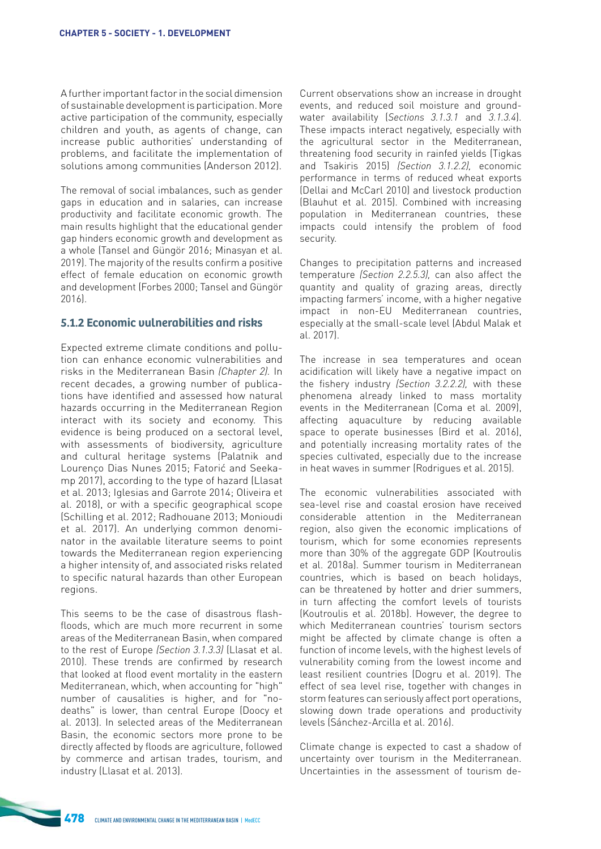<span id="page-9-0"></span>A further important factor in the social dimension of sustainable development is participation. More active participation of the community, especially children and youth, as agents of change, can increase public authorities' understanding of problems, and facilitate the implementation of solutions among communities (Anderson 2012).

The removal of social imbalances, such as gender gaps in education and in salaries, can increase productivity and facilitate economic growth. The main results highlight that the educational gender gap hinders economic growth and development as a whole (Tansel and Güngör 2016; Minasyan et al. 2019). The majority of the results confrm a positive effect of female education on economic growth and development (Forbes 2000; Tansel and Güngör 2016).

# **5.1.2 Economic vulnerabilities and risks**

Expected extreme climate conditions and pollution can enhance economic vulnerabilities and risks in the Mediterranean Basin *(Chapter 2).* In recent decades, a growing number of publications have identifed and assessed how natural hazards occurring in the Mediterranean Region interact with its society and economy. This evidence is being produced on a sectoral level, with assessments of biodiversity, agriculture and cultural heritage systems (Palatnik and Lourenço Dias Nunes 2015; Fatorić and Seekamp 2017), according to the type of hazard (Llasat et al. 2013; Iglesias and Garrote 2014; Oliveira et al. 2018), or with a specific geographical scope (Schilling et al. 2012; Radhouane 2013; Monioudi et al. 2017). An underlying common denominator in the available literature seems to point towards the Mediterranean region experiencing a higher intensity of, and associated risks related to specific natural hazards than other European regions.

This seems to be the case of disastrous flashfloods, which are much more recurrent in some areas of the Mediterranean Basin, when compared to the rest of Europe *(Section 3.1.3.3)* (Llasat et al. 2010). These trends are confrmed by research that looked at flood event mortality in the eastern Mediterranean, which, when accounting for "high" number of causalities is higher, and for "nodeaths" is lower, than central Europe (Doocy et al. 2013). In selected areas of the Mediterranean Basin, the economic sectors more prone to be directly affected by floods are agriculture, followed by commerce and artisan trades, tourism, and industry (Llasat et al. 2013).

Current observations show an increase in drought events, and reduced soil moisture and groundwater availability (*Sections 3.1.3.1* and *3.1.3.4*). These impacts interact negatively, especially with the agricultural sector in the Mediterranean, threatening food security in rainfed yields (Tigkas and Tsakiris 2015) *(Section 3.1.2.2),* economic performance in terms of reduced wheat exports (Dellai and McCarl 2010) and livestock production (Blauhut et al. 2015). Combined with increasing population in Mediterranean countries, these impacts could intensify the problem of food security.

Changes to precipitation patterns and increased temperature *(Section 2.2.5.3),* can also affect the quantity and quality of grazing areas, directly impacting farmers' income, with a higher negative impact in non-EU Mediterranean countries, especially at the small-scale level (Abdul Malak et al. 2017).

The increase in sea temperatures and ocean acidifcation will likely have a negative impact on the fishery industry *(Section 3.2.2.2)*, with these phenomena already linked to mass mortality events in the Mediterranean (Coma et al. 2009), affecting aquaculture by reducing available space to operate businesses (Bird et al. 2016), and potentially increasing mortality rates of the species cultivated, especially due to the increase in heat waves in summer (Rodrigues et al. 2015).

The economic vulnerabilities associated with sea-level rise and coastal erosion have received considerable attention in the Mediterranean region, also given the economic implications of tourism, which for some economies represents more than 30% of the aggregate GDP (Koutroulis et al. 2018a). Summer tourism in Mediterranean countries, which is based on beach holidays, can be threatened by hotter and drier summers, in turn affecting the comfort levels of tourists (Koutroulis et al. 2018b). However, the degree to which Mediterranean countries' tourism sectors might be affected by climate change is often a function of income levels, with the highest levels of vulnerability coming from the lowest income and least resilient countries (Dogru et al. 2019). The effect of sea level rise, together with changes in storm features can seriously affect port operations, slowing down trade operations and productivity levels (Sánchez-Arcilla et al. 2016).

Climate change is expected to cast a shadow of uncertainty over tourism in the Mediterranean. Uncertainties in the assessment of tourism de-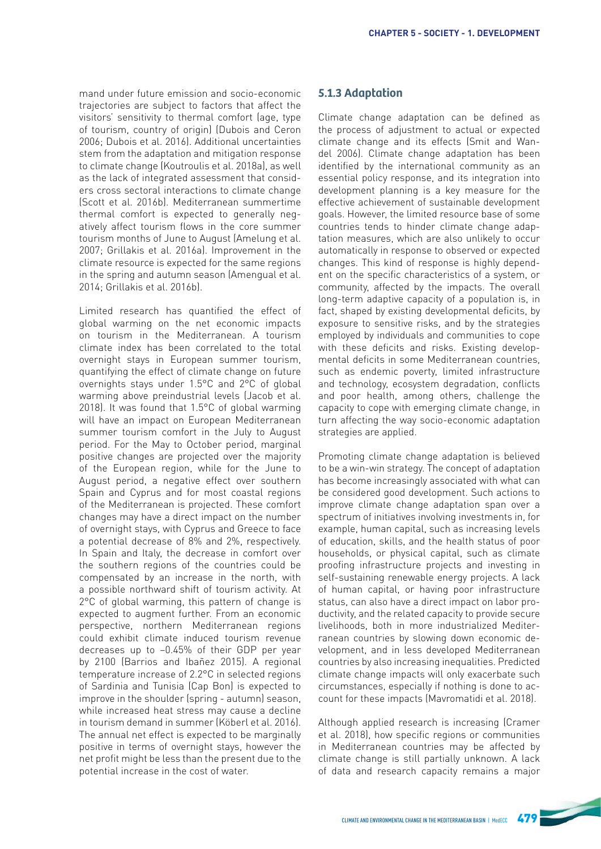<span id="page-10-0"></span>mand under future emission and socio-economic trajectories are subject to factors that affect the visitors' sensitivity to thermal comfort (age, type of tourism, country of origin) (Dubois and Ceron 2006; Dubois et al. 2016). Additional uncertainties stem from the adaptation and mitigation response to climate change (Koutroulis et al. 2018a), as well as the lack of integrated assessment that considers cross sectoral interactions to climate change (Scott et al. 2016b). Mediterranean summertime thermal comfort is expected to generally negatively affect tourism flows in the core summer tourism months of June to August (Amelung et al. 2007; Grillakis et al. 2016a). Improvement in the climate resource is expected for the same regions in the spring and autumn season (Amengual et al. 2014; Grillakis et al. 2016b).

Limited research has quantifed the effect of global warming on the net economic impacts on tourism in the Mediterranean. A tourism climate index has been correlated to the total overnight stays in European summer tourism, quantifying the effect of climate change on future overnights stays under 1.5°C and 2°C of global warming above preindustrial levels (Jacob et al. 2018). It was found that 1.5°C of global warming will have an impact on European Mediterranean summer tourism comfort in the July to August period. For the May to October period, marginal positive changes are projected over the majority of the European region, while for the June to August period, a negative effect over southern Spain and Cyprus and for most coastal regions of the Mediterranean is projected. These comfort changes may have a direct impact on the number of overnight stays, with Cyprus and Greece to face a potential decrease of 8% and 2%, respectively. In Spain and Italy, the decrease in comfort over the southern regions of the countries could be compensated by an increase in the north, with a possible northward shift of tourism activity. At 2°C of global warming, this pattern of change is expected to augment further. From an economic perspective, northern Mediterranean regions could exhibit climate induced tourism revenue decreases up to −0.45% of their GDP per year by 2100 (Barrios and Ibañez 2015). A regional temperature increase of 2.2°C in selected regions of Sardinia and Tunisia (Cap Bon) is expected to improve in the shoulder (spring - autumn) season, while increased heat stress may cause a decline in tourism demand in summer (Köberl et al. 2016). The annual net effect is expected to be marginally positive in terms of overnight stays, however the net profit might be less than the present due to the potential increase in the cost of water.

# **5.1.3 Adaptation**

Climate change adaptation can be defned as the process of adjustment to actual or expected climate change and its effects (Smit and Wandel 2006). Climate change adaptation has been identifed by the international community as an essential policy response, and its integration into development planning is a key measure for the effective achievement of sustainable development goals. However, the limited resource base of some countries tends to hinder climate change adaptation measures, which are also unlikely to occur automatically in response to observed or expected changes. This kind of response is highly dependent on the specific characteristics of a system, or community, affected by the impacts. The overall long-term adaptive capacity of a population is, in fact, shaped by existing developmental deficits, by exposure to sensitive risks, and by the strategies employed by individuals and communities to cope with these deficits and risks. Existing developmental deficits in some Mediterranean countries, such as endemic poverty, limited infrastructure and technology, ecosystem degradation, conficts and poor health, among others, challenge the capacity to cope with emerging climate change, in turn affecting the way socio-economic adaptation strategies are applied.

Promoting climate change adaptation is believed to be a win-win strategy. The concept of adaptation has become increasingly associated with what can be considered good development. Such actions to improve climate change adaptation span over a spectrum of initiatives involving investments in, for example, human capital, such as increasing levels of education, skills, and the health status of poor households, or physical capital, such as climate proofng infrastructure projects and investing in self-sustaining renewable energy projects. A lack of human capital, or having poor infrastructure status, can also have a direct impact on labor productivity, and the related capacity to provide secure livelihoods, both in more industrialized Mediterranean countries by slowing down economic development, and in less developed Mediterranean countries by also increasing inequalities. Predicted climate change impacts will only exacerbate such circumstances, especially if nothing is done to account for these impacts (Mavromatidi et al. 2018).

Although applied research is increasing (Cramer et al. 2018), how specific regions or communities in Mediterranean countries may be affected by climate change is still partially unknown. A lack of data and research capacity remains a major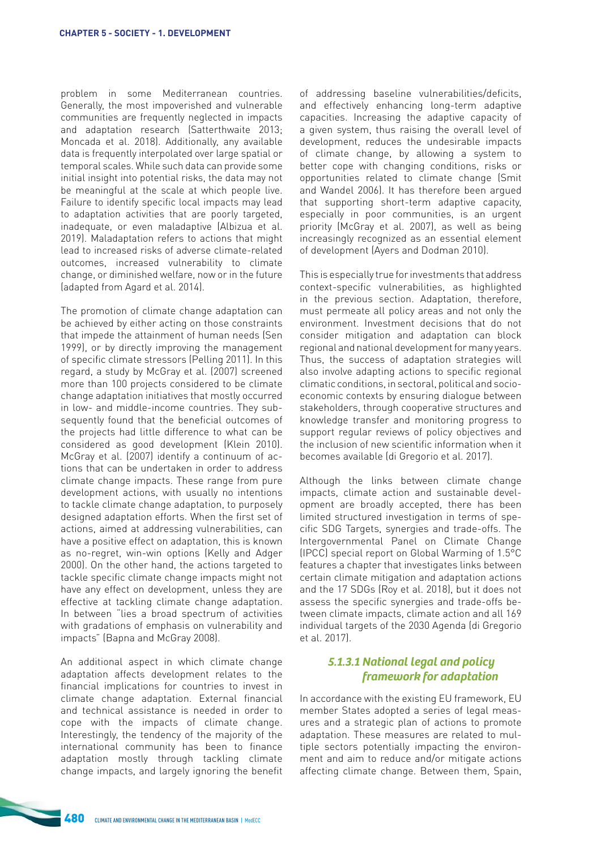<span id="page-11-0"></span>problem in some Mediterranean countries. Generally, the most impoverished and vulnerable communities are frequently neglected in impacts and adaptation research (Satterthwaite 2013; Moncada et al. 2018). Additionally, any available data is frequently interpolated over large spatial or temporal scales. While such data can provide some initial insight into potential risks, the data may not be meaningful at the scale at which people live. Failure to identify specific local impacts may lead to adaptation activities that are poorly targeted, inadequate, or even maladaptive (Albizua et al. 2019). Maladaptation refers to actions that might lead to increased risks of adverse climate-related outcomes, increased vulnerability to climate change, or diminished welfare, now or in the future (adapted from Agard et al. 2014).

The promotion of climate change adaptation can be achieved by either acting on those constraints that impede the attainment of human needs (Sen 1999), or by directly improving the management of specific climate stressors (Pelling 2011). In this regard, a study by McGray et al. (2007) screened more than 100 projects considered to be climate change adaptation initiatives that mostly occurred in low- and middle-income countries. They subsequently found that the beneficial outcomes of the projects had little difference to what can be considered as good development (Klein 2010). McGray et al. (2007) identify a continuum of actions that can be undertaken in order to address climate change impacts. These range from pure development actions, with usually no intentions to tackle climate change adaptation, to purposely designed adaptation efforts. When the first set of actions, aimed at addressing vulnerabilities, can have a positive effect on adaptation, this is known as no-regret, win-win options (Kelly and Adger 2000). On the other hand, the actions targeted to tackle specific climate change impacts might not have any effect on development, unless they are effective at tackling climate change adaptation. In between "lies a broad spectrum of activities with gradations of emphasis on vulnerability and impacts" (Bapna and McGray 2008).

An additional aspect in which climate change adaptation affects development relates to the fnancial implications for countries to invest in climate change adaptation. External financial and technical assistance is needed in order to cope with the impacts of climate change. Interestingly, the tendency of the majority of the international community has been to finance adaptation mostly through tackling climate change impacts, and largely ignoring the benefit

of addressing baseline vulnerabilities/deficits, and effectively enhancing long-term adaptive capacities. Increasing the adaptive capacity of a given system, thus raising the overall level of development, reduces the undesirable impacts of climate change, by allowing a system to better cope with changing conditions, risks or opportunities related to climate change (Smit and Wandel 2006). It has therefore been argued that supporting short-term adaptive capacity, especially in poor communities, is an urgent priority (McGray et al. 2007), as well as being increasingly recognized as an essential element of development (Ayers and Dodman 2010).

This is especially true for investments that address context-specifc vulnerabilities, as highlighted in the previous section. Adaptation, therefore, must permeate all policy areas and not only the environment. Investment decisions that do not consider mitigation and adaptation can block regional and national development for many years. Thus, the success of adaptation strategies will also involve adapting actions to specific regional climatic conditions, in sectoral, political and socioeconomic contexts by ensuring dialogue between stakeholders, through cooperative structures and knowledge transfer and monitoring progress to support regular reviews of policy objectives and the inclusion of new scientific information when it becomes available (di Gregorio et al. 2017).

Although the links between climate change impacts, climate action and sustainable development are broadly accepted, there has been limited structured investigation in terms of specific SDG Targets, synergies and trade-offs. The Intergovernmental Panel on Climate Change (IPCC) special report on Global Warming of 1.5°C features a chapter that investigates links between certain climate mitigation and adaptation actions and the 17 SDGs (Roy et al. 2018), but it does not assess the specific synergies and trade-offs between climate impacts, climate action and all 169 individual targets of the 2030 Agenda (di Gregorio et al. 2017).

# **5.1.3.1 National legal and policy framework for adaptation**

In accordance with the existing EU framework, EU member States adopted a series of legal measures and a strategic plan of actions to promote adaptation. These measures are related to multiple sectors potentially impacting the environment and aim to reduce and/or mitigate actions affecting climate change. Between them, Spain,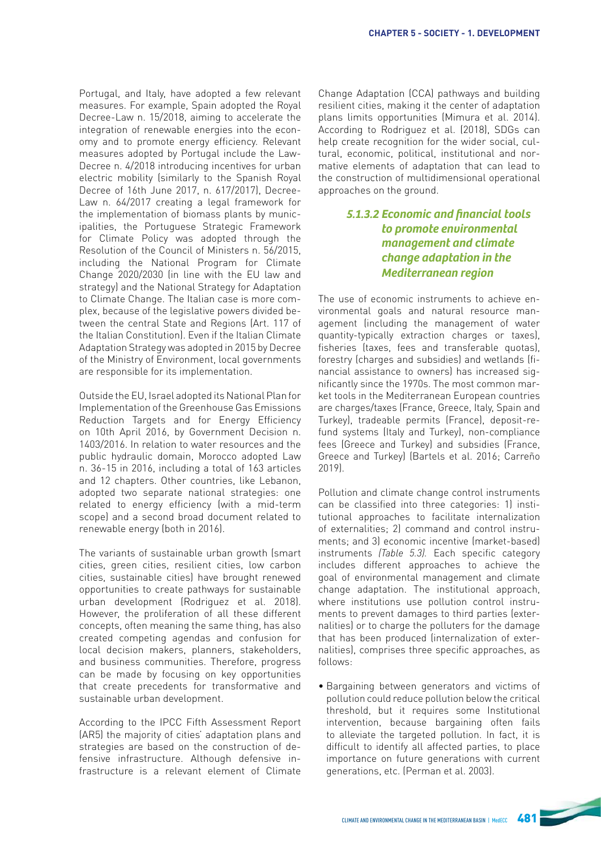<span id="page-12-0"></span>Portugal, and Italy, have adopted a few relevant measures. For example, Spain adopted the Royal Decree-Law n. 15/2018, aiming to accelerate the integration of renewable energies into the economy and to promote energy efficiency. Relevant measures adopted by Portugal include the Law-Decree n. 4/2018 introducing incentives for urban electric mobility (similarly to the Spanish Royal Decree of 16th June 2017, n. 617/2017), Decree-Law n. 64/2017 creating a legal framework for the implementation of biomass plants by municipalities, the Portuguese Strategic Framework for Climate Policy was adopted through the Resolution of the Council of Ministers n. 56/2015, including the National Program for Climate Change 2020/2030 (in line with the EU law and strategy) and the National Strategy for Adaptation to Climate Change. The Italian case is more complex, because of the legislative powers divided between the central State and Regions (Art. 117 of the Italian Constitution). Even if the Italian Climate Adaptation Strategy was adopted in 2015 by Decree of the Ministry of Environment, local governments are responsible for its implementation.

Outside the EU, Israel adopted its National Plan for Implementation of the Greenhouse Gas Emissions Reduction Targets and for Energy Efficiency on 10th April 2016, by Government Decision n. 1403/2016. In relation to water resources and the public hydraulic domain, Morocco adopted Law n. 36-15 in 2016, including a total of 163 articles and 12 chapters. Other countries, like Lebanon, adopted two separate national strategies: one related to energy efficiency (with a mid-term scope) and a second broad document related to renewable energy (both in 2016).

The variants of sustainable urban growth (smart cities, green cities, resilient cities, low carbon cities, sustainable cities) have brought renewed opportunities to create pathways for sustainable urban development (Rodriguez et al. 2018). However, the proliferation of all these different concepts, often meaning the same thing, has also created competing agendas and confusion for local decision makers, planners, stakeholders, and business communities. Therefore, progress can be made by focusing on key opportunities that create precedents for transformative and sustainable urban development.

According to the IPCC Fifth Assessment Report (AR5) the majority of cities' adaptation plans and strategies are based on the construction of defensive infrastructure. Although defensive infrastructure is a relevant element of Climate

Change Adaptation (CCA) pathways and building resilient cities, making it the center of adaptation plans limits opportunities (Mimura et al. 2014). According to Rodriguez et al. (2018), SDGs can help create recognition for the wider social, cultural, economic, political, institutional and normative elements of adaptation that can lead to the construction of multidimensional operational approaches on the ground.

# 5.1.3.2 Economic and fnancial tools **to promote environmental management and climate change adaptation in the Mediterranean region**

The use of economic instruments to achieve environmental goals and natural resource management (including the management of water quantity-typically extraction charges or taxes), fisheries (taxes, fees and transferable quotas), forestry (charges and subsidies) and wetlands (financial assistance to owners) has increased signifcantly since the 1970s. The most common market tools in the Mediterranean European countries are charges/taxes (France, Greece, Italy, Spain and Turkey), tradeable permits (France), deposit-refund systems (Italy and Turkey), non-compliance fees (Greece and Turkey) and subsidies (France, Greece and Turkey) (Bartels et al. 2016; Carreño 2019).

Pollution and climate change control instruments can be classifed into three categories: 1) institutional approaches to facilitate internalization of externalities; 2) command and control instruments; and 3) economic incentive (market-based) instruments (Table 5.3). Each specific category includes different approaches to achieve the goal of environmental management and climate change adaptation. The institutional approach, where institutions use pollution control instruments to prevent damages to third parties (externalities) or to charge the polluters for the damage that has been produced (internalization of externalities), comprises three specific approaches, as follows:

• Bargaining between generators and victims of pollution could reduce pollution below the critical threshold, but it requires some Institutional intervention, because bargaining often fails to alleviate the targeted pollution. In fact, it is difficult to identify all affected parties, to place importance on future generations with current generations, etc. (Perman et al. 2003).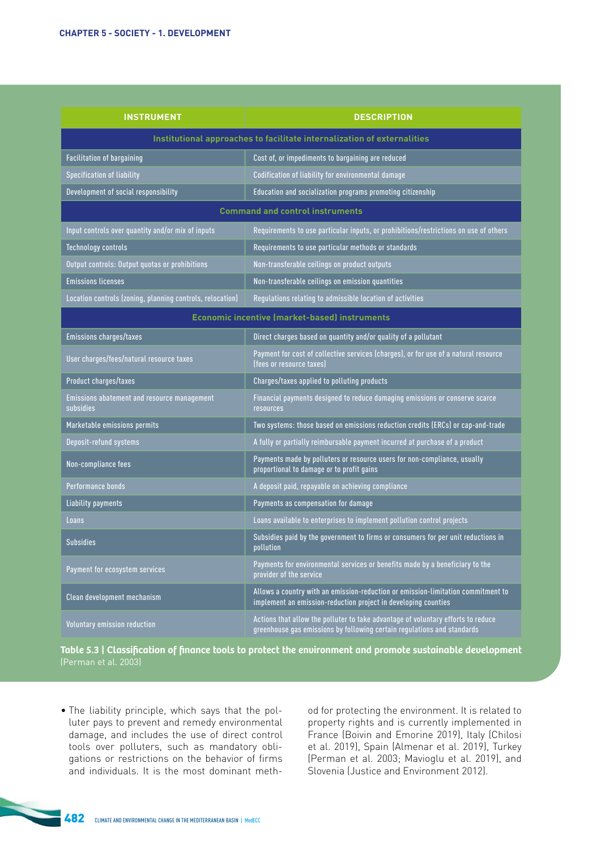| <b>INSTRUMENT</b>                                                       | <b>DESCRIPTION</b>                                                                                                                                          |  |  |  |  |
|-------------------------------------------------------------------------|-------------------------------------------------------------------------------------------------------------------------------------------------------------|--|--|--|--|
| Institutional approaches to facilitate internalization of externalities |                                                                                                                                                             |  |  |  |  |
| <b>Facilitation of bargaining</b>                                       | Cost of, or impediments to bargaining are reduced                                                                                                           |  |  |  |  |
| <b>Specification of liability</b>                                       | Codification of liability for environmental damage                                                                                                          |  |  |  |  |
| Development of social responsibility                                    | Education and socialization programs promoting citizenship                                                                                                  |  |  |  |  |
|                                                                         | <b>Command and control instruments</b>                                                                                                                      |  |  |  |  |
| Input controls over quantity and/or mix of inputs                       | Requirements to use particular inputs, or prohibitions/restrictions on use of others                                                                        |  |  |  |  |
| <b>Technology controls</b>                                              | Requirements to use particular methods or standards                                                                                                         |  |  |  |  |
| Output controls: Output quotas or prohibitions                          | Non-transferable ceilings on product outputs                                                                                                                |  |  |  |  |
| <b>Emissions licenses</b>                                               | Non-transferable ceilings on emission quantities                                                                                                            |  |  |  |  |
| Location controls (zoning, planning controls, relocation)               | Regulations relating to admissible location of activities                                                                                                   |  |  |  |  |
|                                                                         | <b>Economic incentive (market-based) instruments</b>                                                                                                        |  |  |  |  |
| <b>Emissions charges/taxes</b>                                          | Direct charges based on quantity and/or quality of a pollutant                                                                                              |  |  |  |  |
| User charges/fees/natural resource taxes                                | Payment for cost of collective services (charges), or for use of a natural resource<br>(fees or resource taxes)                                             |  |  |  |  |
| Product charges/taxes                                                   | Charges/taxes applied to polluting products                                                                                                                 |  |  |  |  |
| <b>Emissions abatement and resource management</b><br>subsidies         | Financial payments designed to reduce damaging emissions or conserve scarce<br>resources                                                                    |  |  |  |  |
| Marketable emissions permits                                            | Two systems: those based on emissions reduction credits (ERCs) or cap-and-trade                                                                             |  |  |  |  |
| Deposit-refund systems                                                  | A fully or partially reimbursable payment incurred at purchase of a product                                                                                 |  |  |  |  |
| Non-compliance fees                                                     | Payments made by polluters or resource users for non-compliance, usually<br>proportional to damage or to profit gains                                       |  |  |  |  |
| Performance bonds                                                       | A deposit paid, repayable on achieving compliance                                                                                                           |  |  |  |  |
| <b>Liability payments</b>                                               | Payments as compensation for damage                                                                                                                         |  |  |  |  |
| Loans                                                                   | Loans available to enterprises to implement pollution control projects                                                                                      |  |  |  |  |
| <b>Subsidies</b>                                                        | Subsidies paid by the government to firms or consumers for per unit reductions in<br>pollution                                                              |  |  |  |  |
| Payment for ecosystem services                                          | Payments for environmental services or benefits made by a beneficiary to the<br>provider of the service                                                     |  |  |  |  |
| Clean development mechanism                                             | Allows a country with an emission-reduction or emission-limitation commitment to<br>implement an emission-reduction project in developing counties          |  |  |  |  |
| Voluntary emission reduction                                            | Actions that allow the polluter to take advantage of voluntary efforts to reduce<br>greenhouse gas emissions by following certain regulations and standards |  |  |  |  |

Table 5.3 | Classifcation of fnance tools to protect the environment and promote sustainable development

• The liability principle, which says that the polluter pays to prevent and remedy environmental damage, and includes the use of direct control tools over polluters, such as mandatory obligations or restrictions on the behavior of frms and individuals. It is the most dominant meth-

od for protecting the environment. It is related to property rights and is currently implemented in France (Boivin and Emorine 2019), Italy (Chilosi et al. 2019), Spain (Almenar et al. 2019), Turkey (Perman et al. 2003; Mavioglu et al. 2019), and Slovenia (Justice and Environment 2012).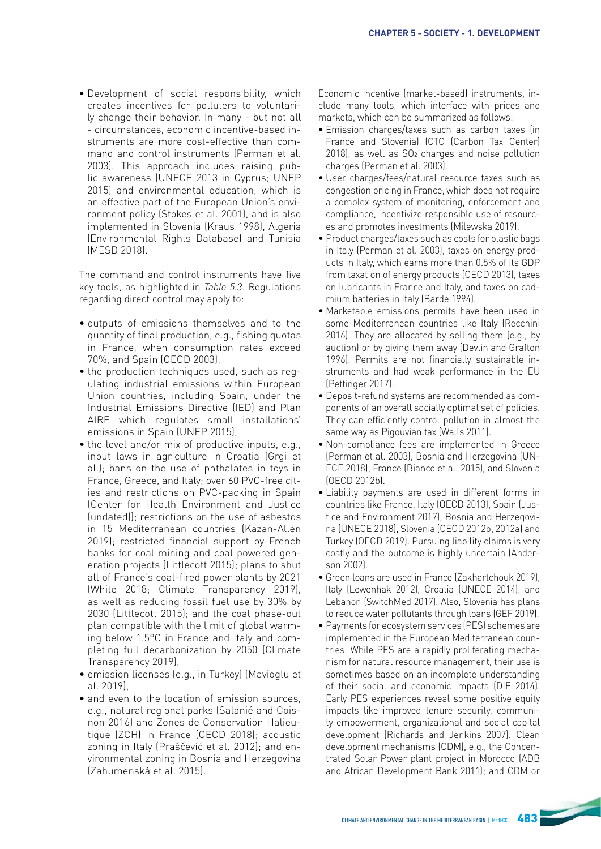• Development of social responsibility, which creates incentives for polluters to voluntarily change their behavior. In many - but not all - circumstances, economic incentive-based instruments are more cost-effective than command and control instruments (Perman et al. 2003). This approach includes raising public awareness (UNECE 2013 in Cyprus; UNEP 2015) and environmental education, which is an effective part of the European Union's environment policy (Stokes et al. 2001), and is also implemented in Slovenia (Kraus 1998), Algeria (Environmental Rights Database) and Tunisia (MESD 2018).

The command and control instruments have five key tools, as highlighted in *Table 5.3*. Regulations regarding direct control may apply to:

- outputs of emissions themselves and to the quantity of final production, e.g., fishing quotas in France, when consumption rates exceed 70%, and Spain (OECD 2003),
- the production techniques used, such as regulating industrial emissions within European Union countries, including Spain, under the Industrial Emissions Directive (IED) and Plan AIRE which regulates small installations' emissions in Spain (UNEP 2015),
- the level and/or mix of productive inputs, e.g., input laws in agriculture in Croatia (Grgi et al.); bans on the use of phthalates in toys in France, Greece, and Italy; over 60 PVC-free cities and restrictions on PVC-packing in Spain (Center for Health Environment and Justice (undated)); restrictions on the use of asbestos in 15 Mediterranean countries (Kazan-Allen 2019); restricted fnancial support by French banks for coal mining and coal powered generation projects (Littlecott 2015); plans to shut all of France's coal-fred power plants by 2021 (White 2018; Climate Transparency 2019), as well as reducing fossil fuel use by 30% by 2030 (Littlecott 2015); and the coal phase-out plan compatible with the limit of global warming below 1.5°C in France and Italy and completing full decarbonization by 2050 (Climate Transparency 2019),
- emission licenses (e.g., in Turkey) (Mavioglu et al. 2019),
- and even to the location of emission sources, e.g., natural regional parks (Salanié and Coisnon 2016) and Zones de Conservation Halieutique (ZCH) in France (OECD 2018); acoustic zoning in Italy (Praščević et al. 2012); and environmental zoning in Bosnia and Herzegovina (Zahumenská et al. 2015).

Economic incentive (market-based) instruments, include many tools, which interface with prices and markets, which can be summarized as follows:

- Emission charges/taxes such as carbon taxes (in France and Slovenia) (CTC (Carbon Tax Center) 2018), as well as SO2 charges and noise pollution charges (Perman et al. 2003).
- User charges/fees/natural resource taxes such as congestion pricing in France, which does not require a complex system of monitoring, enforcement and compliance, incentivize responsible use of resources and promotes investments (Milewska 2019).
- Product charges/taxes such as costs for plastic bags in Italy (Perman et al. 2003), taxes on energy products in Italy, which earns more than 0.5% of its GDP from taxation of energy products (OECD 2013), taxes on lubricants in France and Italy, and taxes on cadmium batteries in Italy (Barde 1994).
- Marketable emissions permits have been used in some Mediterranean countries like Italy (Recchini 2016). They are allocated by selling them (e.g., by auction) or by giving them away (Devlin and Grafton 1996). Permits are not fnancially sustainable instruments and had weak performance in the EU (Pettinger 2017).
- Deposit-refund systems are recommended as components of an overall socially optimal set of policies. They can efficiently control pollution in almost the same way as Pigouvian tax (Walls 2011).
- Non-compliance fees are implemented in Greece (Perman et al. 2003), Bosnia and Herzegovina (UN-ECE 2018), France (Bianco et al. 2015), and Slovenia (OECD 2012b).
- Liability payments are used in different forms in countries like France, Italy (OECD 2013), Spain (Justice and Environment 2017), Bosnia and Herzegovina (UNECE 2018), Slovenia (OECD 2012b, 2012a) and Turkey (OECD 2019). Pursuing liability claims is very costly and the outcome is highly uncertain (Anderson 2002).
- Green loans are used in France (Zakhartchouk 2019), Italy (Lewenhak 2012), Croatia (UNECE 2014), and Lebanon (SwitchMed 2017). Also, Slovenia has plans to reduce water pollutants through loans (GEF 2019).
- Payments for ecosystem services (PES) schemes are implemented in the European Mediterranean countries. While PES are a rapidly proliferating mechanism for natural resource management, their use is sometimes based on an incomplete understanding of their social and economic impacts (DIE 2014). Early PES experiences reveal some positive equity impacts like improved tenure security, community empowerment, organizational and social capital development (Richards and Jenkins 2007). Clean development mechanisms (CDM), e.g., the Concentrated Solar Power plant project in Morocco (ADB and African Development Bank 2011); and CDM or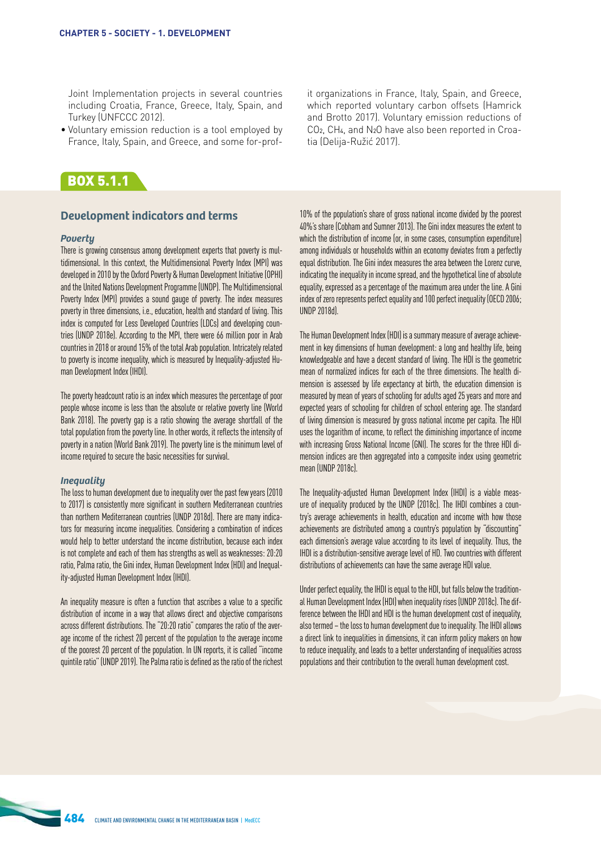<span id="page-15-0"></span>Joint Implementation projects in several countries including Croatia, France, Greece, Italy, Spain, and Turkey (UNFCCC 2012).

• Voluntary emission reduction is a tool employed by France, Italy, Spain, and Greece, and some for-prof-

# BOX 5.1.1

# **Development indicators and terms**

# **Poverty**

There is growing consensus among development experts that poverty is multidimensional. In this context, the Multidimensional Poverty Index (MPI) was developed in 2010 by the Oxford Poverty & Human Development Initiative (OPHI) and the United Nations Development Programme (UNDP). The Multidimensional Poverty Index (MPI) provides a sound gauge of poverty. The index measures poverty in three dimensions, i.e., education, health and standard of living. This index is computed for Less Developed Countries (LDCs) and developing countries (UNDP 2018e). According to the MPI, there were 66 million poor in Arab countries in 2018 or around 15% of the total Arab population. Intricately related to poverty is income inequality, which is measured by Inequality-adjusted Human Development Index (IHDI).

The poverty headcount ratio is an index which measures the percentage of poor people whose income is less than the absolute or relative poverty line (World Bank 2018). The poverty gap is a ratio showing the average shortfall of the total population from the poverty line. In other words, it refects the intensity of poverty in a nation (World Bank 2019). The poverty line is the minimum level of income required to secure the basic necessities for survival.

### **Inequality**

The loss to human development due to inequality over the past few years (2010 to 2017) is consistently more signifcant in southern Mediterranean countries than northern Mediterranean countries (UNDP 2018d). There are many indicators for measuring income inequalities. Considering a combination of indices would help to better understand the income distribution, because each index is not complete and each of them has strengths as well as weaknesses: 20:20 ratio, Palma ratio, the Gini index, Human Development Index (HDI) and Inequality-adjusted Human Development Index (IHDI).

An inequality measure is often a function that ascribes a value to a specifc distribution of income in a way that allows direct and objective comparisons across different distributions. The "20:20 ratio" compares the ratio of the average income of the richest 20 percent of the population to the average income of the poorest 20 percent of the population. In UN reports, it is called "income quintile ratio" (UNDP 2019). The Palma ratio is defned as the ratio of the richest it organizations in France, Italy, Spain, and Greece, which reported voluntary carbon offsets (Hamrick and Brotto 2017). Voluntary emission reductions of CO2, CH4, and N2O have also been reported in Croatia (Delija-Ružić 2017).

10% of the population's share of gross national income divided by the poorest 40%'s share (Cobham and Sumner 2013). The Gini index measures the extent to which the distribution of income (or, in some cases, consumption expenditure) among individuals or households within an economy deviates from a perfectly equal distribution. The Gini index measures the area between the Lorenz curve, indicating the inequality in income spread, and the hypothetical line of absolute equality, expressed as a percentage of the maximum area under the line. A Gini index of zero represents perfect equality and 100 perfect inequality (OECD 2006; UNDP 2018d).

The Human Development Index (HDI) is a summary measure of average achievement in key dimensions of human development: a long and healthy life, being knowledgeable and have a decent standard of living. The HDI is the geometric mean of normalized indices for each of the three dimensions. The health dimension is assessed by life expectancy at birth, the education dimension is measured by mean of years of schooling for adults aged 25 years and more and expected years of schooling for children of school entering age. The standard of living dimension is measured by gross national income per capita. The HDI uses the logarithm of income, to refect the diminishing importance of income with increasing Gross National Income (GNI). The scores for the three HDI dimension indices are then aggregated into a composite index using geometric mean (UNDP 2018c).

The Inequality-adjusted Human Development Index (IHDI) is a viable measure of inequality produced by the UNDP (2018c). The IHDI combines a country's average achievements in health, education and income with how those achievements are distributed among a country's population by "discounting" each dimension's average value according to its level of inequality. Thus, the IHDI is a distribution-sensitive average level of HD. Two countries with different distributions of achievements can have the same average HDI value.

Under perfect equality, the IHDI is equal to the HDI, but falls below the traditional Human Development Index (HDI) when inequality rises (UNDP 2018c). The difference between the IHDI and HDI is the human development cost of inequality, also termed – the loss to human development due to inequality. The IHDI allows a direct link to inequalities in dimensions, it can inform policy makers on how to reduce inequality, and leads to a better understanding of inequalities across populations and their contribution to the overall human development cost.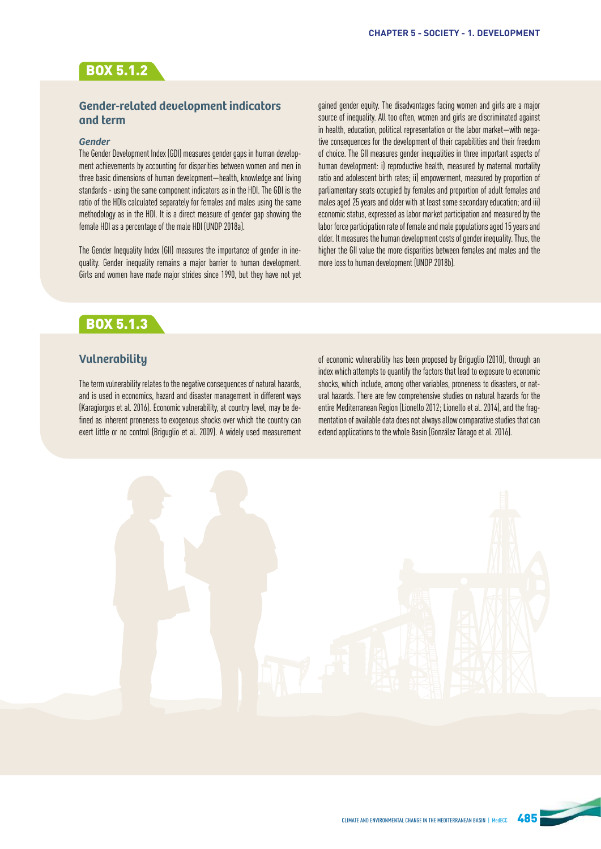# <span id="page-16-0"></span>BOX 5.1.2

# **Gender-related development indicators and term**

### **Gender**

The Gender Development Index (GDI) measures gender gaps in human development achievements by accounting for disparities between women and men in three basic dimensions of human development—health, knowledge and living standards - using the same component indicators as in the HDI. The GDI is the ratio of the HDIs calculated separately for females and males using the same methodology as in the HDI. It is a direct measure of gender gap showing the female HDI as a percentage of the male HDI (UNDP 2018a).

The Gender Inequality Index (GII) measures the importance of gender in inequality. Gender inequality remains a major barrier to human development. Girls and women have made major strides since 1990, but they have not yet

gained gender equity. The disadvantages facing women and girls are a major source of inequality. All too often, women and girls are discriminated against in health, education, political representation or the labor market—with negative consequences for the development of their capabilities and their freedom of choice. The GII measures gender inequalities in three important aspects of human development: i) reproductive health, measured by maternal mortality ratio and adolescent birth rates; ii) empowerment, measured by proportion of parliamentary seats occupied by females and proportion of adult females and males aged 25 years and older with at least some secondary education; and iii) economic status, expressed as labor market participation and measured by the labor force participation rate of female and male populations aged 15 years and older. It measures the human development costs of gender inequality. Thus, the higher the GII value the more disparities between females and males and the more loss to human development (UNDP 2018b).

# BOX 5.1.3

# **Vulnerability**

The term vulnerability relates to the negative consequences of natural hazards, and is used in economics, hazard and disaster management in different ways (Karagiorgos et al. 2016). Economic vulnerability, at country level, may be defned as inherent proneness to exogenous shocks over which the country can exert little or no control (Briguglio et al. 2009). A widely used measurement

of economic vulnerability has been proposed by Briguglio (2010), through an index which attempts to quantify the factors that lead to exposure to economic shocks, which include, among other variables, proneness to disasters, or natural hazards. There are few comprehensive studies on natural hazards for the entire Mediterranean Region (Lionello 2012; Lionello et al. 2014), and the fragmentation of available data does not always allow comparative studies that can extend applications to the whole Basin (González Tánago et al. 2016).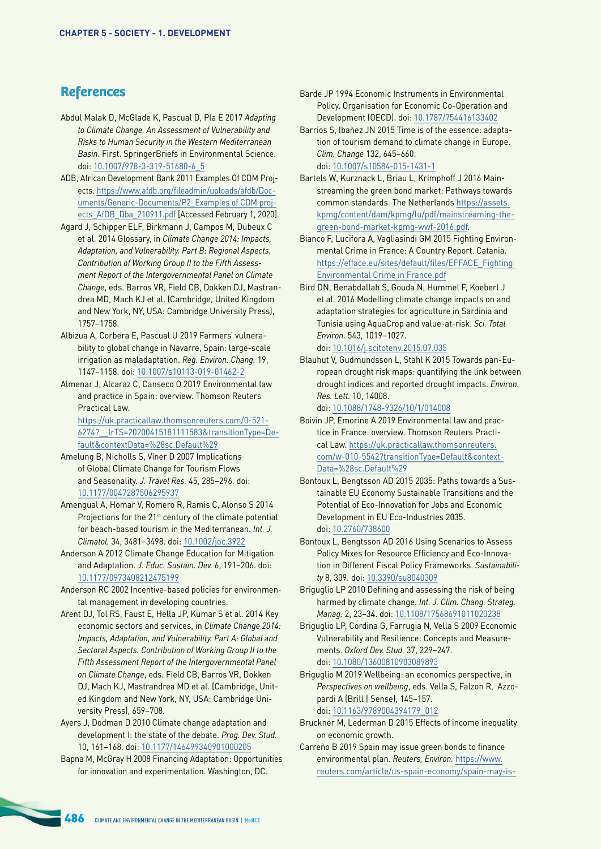# <span id="page-17-0"></span>**References**

- Abdul Malak D, McGlade K, Pascual D, Pla E 2017 *Adapting to Climate Change. An Assessment of Vulnerability and Risks to Human Security in the Western Mediterranean Basin*. First. SpringerBriefs in Environmental Science. doi: [10.1007/978-3-319-51680-6\\_5](https://doi.org/10.1007/978-3-319-51680-6_5)
- ADB, African Development Bank 2011 Examples Of CDM Projects. [https://www.afdb.org/fleadmin/uploads/afdb/Doc](https://www.afdb.org/fileadmin/uploads/afdb/Documents/Generic-Documents/P2_Examples)[uments/Generic-Documents/P2\\_Examples](https://www.afdb.org/fileadmin/uploads/afdb/Documents/Generic-Documents/P2_Examples) of CDM projects\_AfDB\_Dba\_210911.pdf [Accessed February 1, 2020].
- Agard J, Schipper ELF, Birkmann J, Campos M, Dubeux C et al. 2014 Glossary, in *Climate Change 2014: Impacts, Adaptation, and Vulnerability. Part B: Regional Aspects. Contribution of Working Group II to the Fifth Assessment Report of the Intergovernmental Panel on Climate Change*, eds. Barros VR, Field CB, Dokken DJ, Mastrandrea MD, Mach KJ et al. (Cambridge, United Kingdom and New York, NY, USA: Cambridge University Press), 1757–1758.
- Albizua A, Corbera E, Pascual U 2019 Farmers' vulnerability to global change in Navarre, Spain: large-scale irrigation as maladaptation. *Reg. Environ. Chang.* 19, 1147–1158. doi: [10.1007/s10113-019-01462-2](https://doi.org/10.1007/s10113-019-01462-2)
- Almenar J, Alcaraz C, Canseco O 2019 Environmental law and practice in Spain: overview. Thomson Reuters Practical Law.

[https://uk.practicallaw.thomsonreuters.com/0-521-](https://uk.practicallaw.thomsonreuters.com/0-521-6274?__lrTS=20200415181111583&transitionType=Default&contextData=%28sc.Default%29) [6274?\\_\\_lrTS=20200415181111583&transitionType=De](https://uk.practicallaw.thomsonreuters.com/0-521-6274?__lrTS=20200415181111583&transitionType=Default&contextData=%28sc.Default%29)[fault&contextData=%28sc.Default%29](https://uk.practicallaw.thomsonreuters.com/0-521-6274?__lrTS=20200415181111583&transitionType=Default&contextData=%28sc.Default%29)

- Amelung B, Nicholls S, Viner D 2007 Implications of Global Climate Change for Tourism Flows and Seasonality. *J. Travel Res.* 45, 285–296. doi: [10.1177/0047287506295937](https://doi.org/10.1177/0047287506295937)
- Amengual A, Homar V, Romero R, Ramis C, Alonso S 2014 Projections for the 21<sup>st</sup> century of the climate potential for beach-based tourism in the Mediterranean. *Int. J. Climatol.* 34, 3481–3498. doi: [10.1002/joc.3922](https://doi.org/10.1002/joc.3922)
- Anderson A 2012 Climate Change Education for Mitigation and Adaptation. *J. Educ. Sustain. Dev.* 6, 191–206. doi: [10.1177/0973408212475199](https://doi.org/10.1177/0973408212475199)
- Anderson RC 2002 Incentive-based policies for environmental management in developing countries.
- Arent DJ, Tol RS, Faust E, Hella JP, Kumar S et al. 2014 Key economic sectors and services, in *Climate Change 2014: Impacts, Adaptation, and Vulnerability. Part A: Global and Sectoral Aspects. Contribution of Working Group II to the Fifth Assessment Report of the Intergovernmental Panel on Climate Change*, eds. Field CB, Barros VR, Dokken DJ, Mach KJ, Mastrandrea MD et al. (Cambridge, United Kingdom and New York, NY, USA: Cambridge University Press), 659–708.
- Ayers J, Dodman D 2010 Climate change adaptation and development I: the state of the debate. *Prog. Dev. Stud.* 10, 161–168. doi: [10.1177/146499340901000205](https://doi.org/10.1177/146499340901000205)
- Bapna M, McGray H 2008 Financing Adaptation: Opportunities for innovation and experimentation. Washington, DC.
- Barde JP 1994 Economic Instruments in Environmental Policy. Organisation for Economic Co-Operation and Development (OECD). doi: [10.1787/754416133402](https://doi.org/10.1787/754416133402)
- Barrios S, Ibañez JN 2015 Time is of the essence: adaptation of tourism demand to climate change in Europe. *Clim. Change* 132, 645–660. doi: [10.1007/s10584-015-1431-1](https://doi.org/10.1007/s10584-015-1431-1)
- Bartels W, Kurznack L, Briau L, Krimphoff J 2016 Mainstreaming the green bond market: Pathways towards common standards. The Netherlands [https://assets.](https://assets.kpmg/content/dam/kpmg/lu/pdf/mainstreaming-the-green-bond-market-kpmg-wwf-2016.pdf) [kpmg/content/dam/kpmg/lu/pdf/mainstreaming-the](https://assets.kpmg/content/dam/kpmg/lu/pdf/mainstreaming-the-green-bond-market-kpmg-wwf-2016.pdf)[green-bond-market-kpmg-wwf-2016.pdf](https://assets.kpmg/content/dam/kpmg/lu/pdf/mainstreaming-the-green-bond-market-kpmg-wwf-2016.pdf).
- Bianco F, Lucifora A, Vagliasindi GM 2015 Fighting Environmental Crime in France: A Country Report. Catania. https://efface.eu/sites/default/files/EFFACE\_Fighting Environmental Crime in France.pdf
- Bird DN, Benabdallah S, Gouda N, Hummel F, Koeberl J et al. 2016 Modelling climate change impacts on and adaptation strategies for agriculture in Sardinia and Tunisia using AquaCrop and value-at-risk. *Sci. Total Environ.* 543, 1019–1027.

doi: [10.1016/j.scitotenv.2015.07.035](https://doi.org/10.1016/j.scitotenv.2015.07.035)

Blauhut V, Gudmundsson L, Stahl K 2015 Towards pan-European drought risk maps: quantifying the link between drought indices and reported drought impacts. *Environ. Res. Lett.* 10, 14008.

doi: [10.1088/1748-9326/10/1/014008](https://doi.org/10.1088/1748-9326/10/1/014008)

- Boivin JP, Emorine A 2019 Environmental law and practice in France: overview. Thomson Reuters Practical Law. [https://uk.practicallaw.thomsonreuters.](https://uk.practicallaw.thomsonreuters.com/w-010-5542?transitionType=Default&contextData=%28sc.Default%29) [com/w-010-5542?transitionType=Default&context-](https://uk.practicallaw.thomsonreuters.com/w-010-5542?transitionType=Default&contextData=%28sc.Default%29)[Data=%28sc.Default%29](https://uk.practicallaw.thomsonreuters.com/w-010-5542?transitionType=Default&contextData=%28sc.Default%29)
- Bontoux L, Bengtsson AD 2015 2035: Paths towards a Sustainable EU Economy Sustainable Transitions and the Potential of Eco-Innovation for Jobs and Economic Development in EU Eco-Industries 2035. doi: [10.2760/738600](https://doi.org/10.2760/738600)
- Bontoux L, Bengtsson AD 2016 Using Scenarios to Assess Policy Mixes for Resource Efficiency and Eco-Innovation in Different Fiscal Policy Frameworks. *Sustainability* 8, 309. doi: [10.3390/su8040309](https://doi.org/10.3390/su8040309)
- Briguglio LP 2010 Defning and assessing the risk of being harmed by climate change. *Int. J. Clim. Chang. Strateg. Manag.* 2, 23–34. doi: [10.1108/17568691011020238](https://doi.org/10.1108/17568691011020238)
- Briguglio LP, Cordina G, Farrugia N, Vella S 2009 Economic Vulnerability and Resilience: Concepts and Measurements. *Oxford Dev. Stud.* 37, 229–247. doi: [10.1080/13600810903089893](https://doi.org/10.1080/13600810903089893)
- Briguglio M 2019 Wellbeing: an economics perspective, in *Perspectives on wellbeing*, eds. Vella S, Falzon R, Azzopardi A (Brill | Sense), 145–157. doi: [10.1163/9789004394179\\_012](https://doi.org/10.1163/9789004394179_012)
- Bruckner M, Lederman D 2015 Effects of income inequality on economic growth.
- Carreño B 2019 Spain may issue green bonds to fnance environmental plan. *Reuters, Environ.* [https://www.](https://www.reuters.com/article/us-spain-economy/spain-may-issue-green-bonds-to-finance-environmental-plan-minister-says-idUSKCN1R81XT) [reuters.com/article/us-spain-economy/spain-may-is-](https://www.reuters.com/article/us-spain-economy/spain-may-issue-green-bonds-to-finance-environmental-plan-minister-says-idUSKCN1R81XT)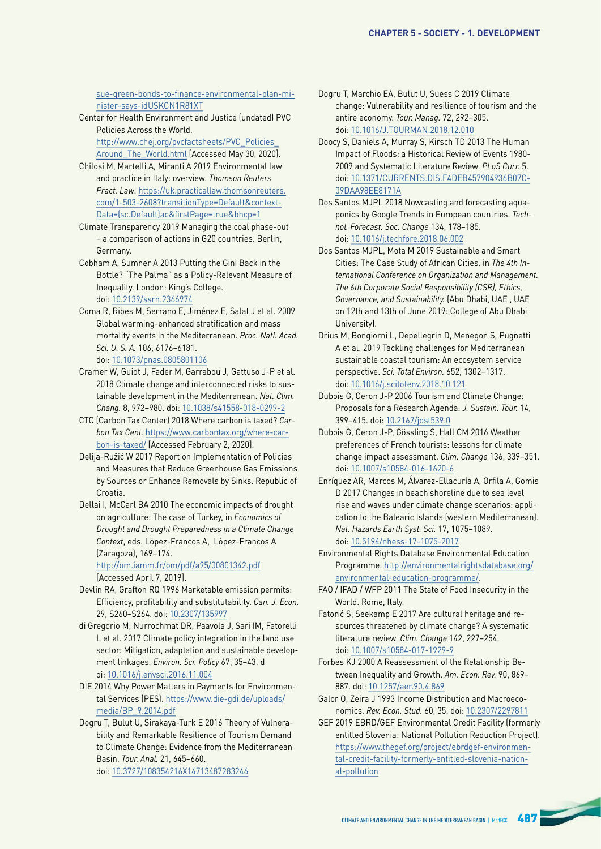[sue-green-bonds-to-fnance-environmental-plan-mi](https://www.reuters.com/article/us-spain-economy/spain-may-issue-green-bonds-to-finance-environmental-plan-minister-says-idUSKCN1R81XT)[nister-says-idUSKCN1R81XT](https://www.reuters.com/article/us-spain-economy/spain-may-issue-green-bonds-to-finance-environmental-plan-minister-says-idUSKCN1R81XT)

Center for Health Environment and Justice (undated) PVC Policies Across the World.

[http://www.chej.org/pvcfactsheets/PVC\\_Policies\\_](http://www.chej.org/pvcfactsheets/PVC_Policies_Around_The_World.html) [Around\\_The\\_World.html](http://www.chej.org/pvcfactsheets/PVC_Policies_Around_The_World.html) [Accessed May 30, 2020].

- Chilosi M, Martelli A, Miranti A 2019 Environmental law and practice in Italy: overview. *Thomson Reuters Pract. Law*. [https://uk.practicallaw.thomsonreuters.](https://uk.practicallaw.thomsonreuters.com/1-503-2608?transitionType=Default&contextData=(sc.Default)ac&firstPage=true&bhcp=1) [com/1-503-2608?transitionType=Default&context-](https://uk.practicallaw.thomsonreuters.com/1-503-2608?transitionType=Default&contextData=(sc.Default)ac&firstPage=true&bhcp=1)[Data=\(sc.Default\)ac&frstPage=true&bhcp=1](https://uk.practicallaw.thomsonreuters.com/1-503-2608?transitionType=Default&contextData=(sc.Default)ac&firstPage=true&bhcp=1)
- Climate Transparency 2019 Managing the coal phase-out – a comparison of actions in G20 countries. Berlin, Germany.
- Cobham A, Sumner A 2013 Putting the Gini Back in the Bottle? "The Palma" as a Policy-Relevant Measure of Inequality. London: King's College. doi: [10.2139/ssrn.2366974](https://doi.org/10.2139/ssrn.2366974)
- Coma R, Ribes M, Serrano E, Jiménez E, Salat J et al. 2009 Global warming-enhanced stratifcation and mass mortality events in the Mediterranean. *Proc. Natl. Acad.*  Sci. U. S. A. 106, 6176–6181.

doi: [10.1073/pnas.0805801106](https://doi.org/10.1073/pnas.0805801106)

- Cramer W, Guiot J, Fader M, Garrabou J, Gattuso J-P et al. 2018 Climate change and interconnected risks to sustainable development in the Mediterranean. *Nat. Clim. Chang.* 8, 972–980. doi: [10.1038/s41558-018-0299-2](https://doi.org/10.1038/s41558-018-0299-2)
- CTC (Carbon Tax Center) 2018 Where carbon is taxed? *Carbon Tax Cent.* [https://www.carbontax.org/where-car](https://www.carbontax.org/where-carbon-is-taxed/)[bon-is-taxed/](https://www.carbontax.org/where-carbon-is-taxed/) [Accessed February 2, 2020].
- Delija-Ružić W 2017 Report on Implementation of Policies and Measures that Reduce Greenhouse Gas Emissions by Sources or Enhance Removals by Sinks. Republic of Croatia.
- Dellai I, McCarl BA 2010 The economic impacts of drought on agriculture: The case of Turkey, in *Economics of Drought and Drought Preparedness in a Climate Change Context*, eds. López-Francos A, López-Francos A (Zaragoza), 169–174.

<http://om.iamm.fr/om/pdf/a95/00801342.pdf> [Accessed April 7, 2019].

- Devlin RA, Grafton RQ 1996 Marketable emission permits: Efficiency, profitability and substitutability. *Can. J. Econ.* 29, S260–S264. doi: [10.2307/135997](https://doi.org/10.2307/135997)
- di Gregorio M, Nurrochmat DR, Paavola J, Sari IM, Fatorelli L et al. 2017 Climate policy integration in the land use sector: Mitigation, adaptation and sustainable development linkages. *Environ. Sci. Policy* 67, 35–43. d oi: [10.1016/j.envsci.2016.11.004](https://doi.org/10.1016/j.envsci.2016.11.004)
- DIE 2014 Why Power Matters in Payments for Environmental Services (PES). [https://www.die-gdi.de/uploads/](https://www.die-gdi.de/uploads/media/BP_9.2014.pdf) [media/BP\\_9.2014.pdf](https://www.die-gdi.de/uploads/media/BP_9.2014.pdf)
- Dogru T, Bulut U, Sirakaya-Turk E 2016 Theory of Vulnerability and Remarkable Resilience of Tourism Demand to Climate Change: Evidence from the Mediterranean Basin. *Tour. Anal.* 21, 645–660.

doi: [10.3727/108354216X14713487283246](https://doi.org/10.3727/108354216X14713487283246)

- Dogru T, Marchio EA, Bulut U, Suess C 2019 Climate change: Vulnerability and resilience of tourism and the entire economy. *Tour. Manag.* 72, 292–305. doi: [10.1016/J.TOURMAN.2018.12.010](https://doi.org/10.1016/J.TOURMAN.2018.12.010)
- Doocy S, Daniels A, Murray S, Kirsch TD 2013 The Human Impact of Floods: a Historical Review of Events 1980- 2009 and Systematic Literature Review. *PLoS Curr.* 5. doi: [10.1371/CURRENTS.DIS.F4DEB457904936B07C-](https://doi.org/10.1371/CURRENTS.DIS.F4DEB457904936B07C09DAA98EE8171A)[09DAA98EE8171A](https://doi.org/10.1371/CURRENTS.DIS.F4DEB457904936B07C09DAA98EE8171A)
- Dos Santos MJPL 2018 Nowcasting and forecasting aquaponics by Google Trends in European countries. *Technol. Forecast. Soc. Change* 134, 178–185. doi: [10.1016/j.techfore.2018.06.002](https://doi.org/10.1016/j.techfore.2018.06.002)
- Dos Santos MJPL, Mota M 2019 Sustainable and Smart Cities: The Case Study of African Cities. in *The 4th International Conference on Organization and Management. The 6th Corporate Social Responsibility (CSR), Ethics, Governance, and Sustainability.* (Abu Dhabi, UAE , UAE on 12th and 13th of June 2019: College of Abu Dhabi University).
- Drius M, Bongiorni L, Depellegrin D, Menegon S, Pugnetti A et al. 2019 Tackling challenges for Mediterranean sustainable coastal tourism: An ecosystem service perspective. *Sci. Total Environ.* 652, 1302–1317. doi: [10.1016/j.scitotenv.2018.10.121](https://doi.org/10.1016/j.scitotenv.2018.10.121)
- Dubois G, Ceron J-P 2006 Tourism and Climate Change: Proposals for a Research Agenda. *J. Sustain. Tour.* 14, 399–415. doi: [10.2167/jost539.0](https://doi.org/10.2167/jost539.0)
- Dubois G, Ceron J-P, Gössling S, Hall CM 2016 Weather preferences of French tourists: lessons for climate change impact assessment. *Clim. Change* 136, 339–351. doi: [10.1007/s10584-016-1620-6](https://doi.org/10.1007/s10584-016-1620-6)
- Enríquez AR, Marcos M, Álvarez-Ellacuría A, Orfla A, Gomis D 2017 Changes in beach shoreline due to sea level rise and waves under climate change scenarios: application to the Balearic Islands (western Mediterranean). *Nat. Hazards Earth Syst. Sci.* 17, 1075–1089. doi: [10.5194/nhess-17-1075-2017](https://doi.org/10.5194/nhess-17-1075-2017)
- Environmental Rights Database Environmental Education Programme. [http://environmentalrightsdatabase.org/](http://environmentalrightsdatabase.org/environmental-education-programme/) [environmental-education-programme/](http://environmentalrightsdatabase.org/environmental-education-programme/).
- FAO / IFAD / WFP 2011 The State of Food Insecurity in the World. Rome, Italy.
- Fatorić S, Seekamp E 2017 Are cultural heritage and resources threatened by climate change? A systematic literature review. *Clim. Change* 142, 227–254. doi: [10.1007/s10584-017-1929-9](https://doi.org/10.1007/s10584-017-1929-9)
- Forbes KJ 2000 A Reassessment of the Relationship Between Inequality and Growth. *Am. Econ. Rev.* 90, 869– 887. doi: [10.1257/aer.90.4.869](https://doi.org/10.1257/aer.90.4.869)
- Galor O, Zeira J 1993 Income Distribution and Macroeconomics. *Rev. Econ. Stud.* 60, 35. doi: [10.2307/2297811](https://doi.org/10.2307/2297811)
- GEF 2019 EBRD/GEF Environmental Credit Facility (formerly entitled Slovenia: National Pollution Reduction Project). [https://www.thegef.org/project/ebrdgef-environmen](https://www.thegef.org/project/ebrdgef-environmental-credit-facility-formerly-entitled-slovenia-national-pollution)[tal-credit-facility-formerly-entitled-slovenia-nation](https://www.thegef.org/project/ebrdgef-environmental-credit-facility-formerly-entitled-slovenia-national-pollution)[al-pollution](https://www.thegef.org/project/ebrdgef-environmental-credit-facility-formerly-entitled-slovenia-national-pollution)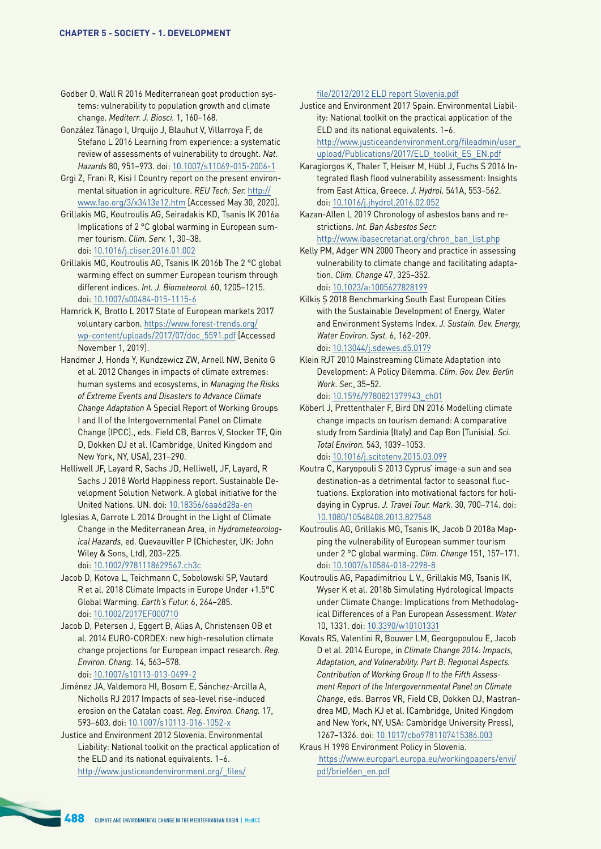- Godber O, Wall R 2016 Mediterranean goat production systems: vulnerability to population growth and climate change. *Mediterr. J. Biosci.* 1, 160–168.
- González Tánago I, Urquijo J, Blauhut V, Villarroya F, de Stefano L 2016 Learning from experience: a systematic review of assessments of vulnerability to drought. *Nat. Hazards* 80, 951–973. doi: [10.1007/s11069-015-2006-1](https://doi.org/10.1007/s11069-015-2006-1)
- Grgi Z, Frani R, Kisi I Country report on the present environmental situation in agriculture. REU Tech. Ser. [http://](http://www.fao.org/3/x3413e12.htm) [www.fao.org/3/x3413e12.htm](http://www.fao.org/3/x3413e12.htm) [Accessed May 30, 2020].
- Grillakis MG, Koutroulis AG, Seiradakis KD, Tsanis IK 2016a Implications of 2 °C global warming in European summer tourism. *Clim. Serv.* 1, 30–38. doi: [10.1016/j.cliser.2016.01.002](https://doi.org/10.1016/j.cliser.2016.01.002)
- Grillakis MG, Koutroulis AG, Tsanis IK 2016b The 2 °C global warming effect on summer European tourism through different indices. *Int. J. Biometeorol.* 60, 1205–1215. doi: [10.1007/s00484-015-1115-6](https://doi.org/10.1007/s00484-015-1115-6)
- Hamrick K, Brotto L 2017 State of European markets 2017 voluntary carbon. [https://www.forest-trends.org/](https://www.forest-trends.org/wp-content/uploads/2017/07/doc_5591.pdf) [wp-content/uploads/2017/07/doc\\_5591.pdf](https://www.forest-trends.org/wp-content/uploads/2017/07/doc_5591.pdf) [Accessed November 1, 2019].
- Handmer J, Honda Y, Kundzewicz ZW, Arnell NW, Benito G et al. 2012 Changes in impacts of climate extremes: human systems and ecosystems, in *Managing the Risks of Extreme Events and Disasters to Advance Climate Change Adaptation* A Special Report of Working Groups I and II of the Intergovernmental Panel on Climate Change (IPCC)., eds. Field CB, Barros V, Stocker TF, Qin D, Dokken DJ et al. (Cambridge, United Kingdom and New York, NY, USA), 231–290.
- Helliwell JF, Layard R, Sachs JD, Helliwell, JF, Layard, R Sachs J 2018 World Happiness report. Sustainable Development Solution Network. A global initiative for the United Nations. UN. doi: [10.18356/6aa6d28a-en](https://doi.org/10.18356/6aa6d28a-en)
- Iglesias A, Garrote L 2014 Drought in the Light of Climate Change in the Mediterranean Area, in *Hydrometeorological Hazards*, ed. Quevauviller P (Chichester, UK: John Wiley & Sons, Ltd), 203–225. doi: [10.1002/9781118629567.ch3c](https://doi.org/10.1002/9781118629567.ch3c)
- Jacob D, Kotova L, Teichmann C, Sobolowski SP, Vautard R et al. 2018 Climate Impacts in Europe Under +1.5°C Global Warming. *Earth's Futur.* 6, 264–285. doi: [10.1002/2017EF000710](https://doi.org/10.1002/2017EF000710)
- Jacob D, Petersen J, Eggert B, Alias A, Christensen OB et al. 2014 EURO-CORDEX: new high-resolution climate change projections for European impact research. *Reg. Environ. Chang.* 14, 563–578. doi: [10.1007/s10113-013-0499-2](https://doi.org/10.1007/s10113-013-0499-2)
- Jiménez JA, Valdemoro HI, Bosom E, Sánchez-Arcilla A, Nicholls RJ 2017 Impacts of sea-level rise-induced erosion on the Catalan coast. *Reg. Environ. Chang.* 17, 593–603. doi: [10.1007/s10113-016-1052-x](https://doi.org/10.1007/s10113-016-1052-x)
- Justice and Environment 2012 Slovenia. Environmental Liability: National toolkit on the practical application of the ELD and its national equivalents. 1–6. http://www.justiceandenvironment.org/\_files/

# file/2012/2012 ELD report Slovenia.pdf

- Justice and Environment 2017 Spain. Environmental Liability: National toolkit on the practical application of the ELD and its national equivalents. 1–6. [http://www.justiceandenvironment.org/fleadmin/user\\_](http://www.justiceandenvironment.org/fileadmin/user_upload/Publications/2017/ELD_toolkit_ES_EN.pdf) [upload/Publications/2017/ELD\\_toolkit\\_ES\\_EN.pdf](http://www.justiceandenvironment.org/fileadmin/user_upload/Publications/2017/ELD_toolkit_ES_EN.pdf)
- Karagiorgos K, Thaler T, Heiser M, Hübl J, Fuchs S 2016 Integrated flash flood vulnerability assessment: Insights from East Attica, Greece. *J. Hydrol.* 541A, 553–562. doi: [10.1016/j.jhydrol.2016.02.052](https://doi.org/10.1016/j.jhydrol.2016.02.052)
- Kazan-Allen L 2019 Chronology of asbestos bans and restrictions. *Int. Ban Asbestos Secr.*
	- [http://www.ibasecretariat.org/chron\\_ban\\_list.php](http://www.ibasecretariat.org/chron_ban_list.php)
- Kelly PM, Adger WN 2000 Theory and practice in assessing vulnerability to climate change and facilitating adaptation. *Clim. Change* 47, 325–352. doi: [10.1023/a:1005627828199](https://doi.org/10.1023/a:1005627828199)
- Kilkiş Ş 2018 Benchmarking South East European Cities with the Sustainable Development of Energy, Water and Environment Systems Index. *J. Sustain. Dev. Energy, Water Environ. Syst.* 6, 162–209. doi: [10.13044/j.sdewes.d5.0179](https://doi.org/10.13044/j.sdewes.d5.0179)
- Klein RJT 2010 Mainstreaming Climate Adaptation into Development: A Policy Dilemma. *Clim. Gov. Dev. Berlin Work. Ser.*, 35–52.

doi: [10.1596/9780821379943\\_ch01](https://doi.org/10.1596/9780821379943_ch01)

- Köberl J, Prettenthaler F, Bird DN 2016 Modelling climate change impacts on tourism demand: A comparative study from Sardinia (Italy) and Cap Bon (Tunisia). *Sci. Total Environ.* 543, 1039–1053. doi: [10.1016/j.scitotenv.2015.03.099](https://doi.org/10.1016/j.scitotenv.2015.03.099)
- Koutra C, Karyopouli S 2013 Cyprus' image-a sun and sea destination-as a detrimental factor to seasonal fuctuations. Exploration into motivational factors for holidaying in Cyprus. *J. Travel Tour. Mark.* 30, 700–714. doi: [10.1080/10548408.2013.827548](https://doi.org/10.1080/10548408.2013.827548)
- Koutroulis AG, Grillakis MG, Tsanis IK, Jacob D 2018a Mapping the vulnerability of European summer tourism under 2 °C global warming. *Clim. Change* 151, 157–171. doi: [10.1007/s10584-018-2298-8](https://doi.org/10.1007/s10584-018-2298-8)
- Koutroulis AG, Papadimitriou L V., Grillakis MG, Tsanis IK, Wyser K et al. 2018b Simulating Hydrological Impacts under Climate Change: Implications from Methodological Differences of a Pan European Assessment. *Water* 10, 1331. doi: [10.3390/w10101331](https://doi.org/10.3390/w10101331)
- Kovats RS, Valentini R, Bouwer LM, Georgopoulou E, Jacob D et al. 2014 Europe, in *Climate Change 2014: Impacts, Adaptation, and Vulnerability. Part B: Regional Aspects. Contribution of Working Group II to the Fifth Assessment Report of the Intergovernmental Panel on Climate Change*, eds. Barros VR, Field CB, Dokken DJ, Mastrandrea MD, Mach KJ et al. (Cambridge, United Kingdom and New York, NY, USA: Cambridge University Press), 1267–1326. doi: [10.1017/cbo9781107415386.003](https://doi.org/10.1017/cbo9781107415386.003)
- Kraus H 1998 Environment Policy in Slovenia.  [https://www.europarl.europa.eu/workingpapers/envi/](https://www.europarl.europa.eu/workingpapers/envi/pdf/brief6en_en.pdf) [pdf/brief6en\\_en.pdf](https://www.europarl.europa.eu/workingpapers/envi/pdf/brief6en_en.pdf)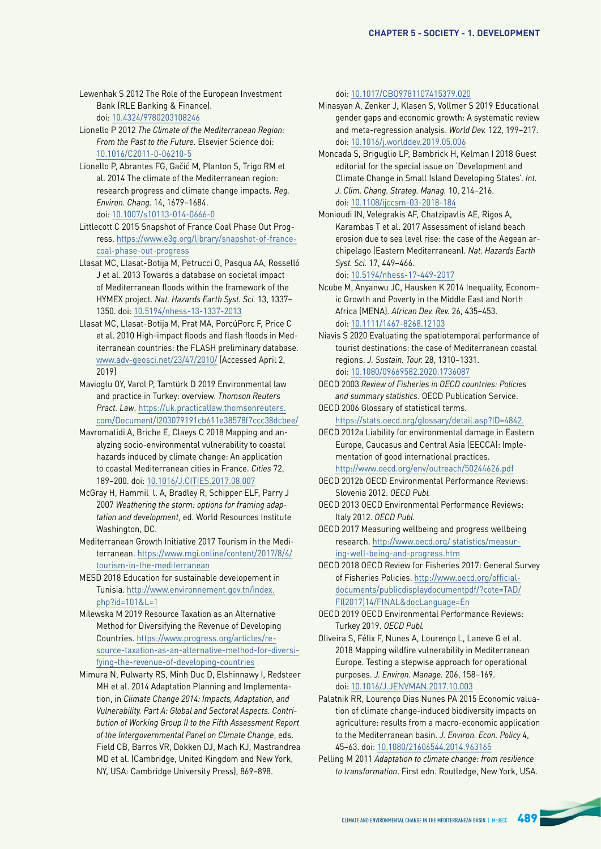- Lewenhak S 2012 The Role of the European Investment Bank (RLE Banking & Finance). doi: [10.4324/9780203108246](http://dx.doi.org/10.4324/9780203108246)
- Lionello P 2012 *The Climate of the Mediterranean Region: From the Past to the Future*. Elsevier Science doi: [10.1016/C2011-0-06210-5](https://doi.org/10.1016/C2011-0-06210-5)
- Lionello P, Abrantes FG, Gačić M, Planton S, Trigo RM et al. 2014 The climate of the Mediterranean region: research progress and climate change impacts. *Reg. Environ. Chang.* 14, 1679–1684. doi: [10.1007/s10113-014-0666-0](https://doi.org/10.1007/s10113-014-0666-0)
- Littlecott C 2015 Snapshot of France Coal Phase Out Progress. [https://www.e3g.org/library/snapshot-of-france](https://www.e3g.org/library/snapshot-of-france-coal-phase-out-progress)[coal-phase-out-progress](https://www.e3g.org/library/snapshot-of-france-coal-phase-out-progress)
- Llasat MC, Llasat-Botija M, Petrucci O, Pasqua AA, Rosselló J et al. 2013 Towards a database on societal impact of Mediterranean floods within the framework of the HYMEX project. *Nat. Hazards Earth Syst. Sci.* 13, 1337– 1350. doi: [10.5194/nhess-13-1337-2013](https://doi.org/10.5194/nhess-13-1337-2013)
- Llasat MC, Llasat-Botija M, Prat MA, PorcúPorc F, Price C et al. 2010 High-impact floods and flash floods in Mediterranean countries: the FLASH preliminary database. [www.adv-geosci.net/23/47/2010/](http://www.adv-geosci.net/23/47/2010/) [Accessed April 2, 2019]
- Mavioglu OY, Varol P, Tamtürk D 2019 Environmental law and practice in Turkey: overview. *Thomson Reuters Pract. Law*. [https://uk.practicallaw.thomsonreuters.](https://uk.practicallaw.thomsonreuters.com/Document/I203079191cb611e38578f7ccc38dcbee/) [com/Document/I203079191cb611e38578f7ccc38dcbee/](https://uk.practicallaw.thomsonreuters.com/Document/I203079191cb611e38578f7ccc38dcbee/)
- Mavromatidi A, Briche E, Claeys C 2018 Mapping and analyzing socio-environmental vulnerability to coastal hazards induced by climate change: An application to coastal Mediterranean cities in France. *Cities* 72, 189–200. doi: [10.1016/J.CITIES.2017.08.007](https://doi.org/10.1016/J.CITIES.2017.08.007)
- McGray H, Hammil l. A, Bradley R, Schipper ELF, Parry J 2007 *Weathering the storm: options for framing adaptation and development*, ed. World Resources Institute Washington, DC.
- Mediterranean Growth Initiative 2017 Tourism in the Mediterranean. [https://www.mgi.online/content/2017/8/4/](https://www.mgi.online/content/2017/8/4/tourism-in-the-mediterranean) [tourism-in-the-mediterranean](https://www.mgi.online/content/2017/8/4/tourism-in-the-mediterranean)
- MESD 2018 Education for sustainable developement in Tunisia. [http://www.environnement.gov.tn/index.](http://www.environnement.gov.tn/index.php?id=101&L=1) [php?id=101&L=1](http://www.environnement.gov.tn/index.php?id=101&L=1)
- Milewska M 2019 Resource Taxation as an Alternative Method for Diversifying the Revenue of Developing Countries. [https://www.progress.org/articles/re](https://www.progress.org/articles/resource-taxation-as-an-alternative-method-for-diversifying-the-revenue-of-developing-countries)[source-taxation-as-an-alternative-method-for-diversi](https://www.progress.org/articles/resource-taxation-as-an-alternative-method-for-diversifying-the-revenue-of-developing-countries)[fying-the-revenue-of-developing-countries](https://www.progress.org/articles/resource-taxation-as-an-alternative-method-for-diversifying-the-revenue-of-developing-countries)
- Mimura N, Pulwarty RS, Minh Duc D, Elshinnawy I, Redsteer MH et al. 2014 Adaptation Planning and Implementation, in *Climate Change 2014: Impacts, Adaptation, and Vulnerability. Part A: Global and Sectoral Aspects. Contribution of Working Group II to the Fifth Assessment Report of the Intergovernmental Panel on Climate Change*, eds. Field CB, Barros VR, Dokken DJ, Mach KJ, Mastrandrea MD et al. (Cambridge, United Kingdom and New York, NY, USA: Cambridge University Press), 869–898.

doi: [10.1017/CBO9781107415379.020](https://doi.org/10.1017/CBO9781107415379.020)

- Minasyan A, Zenker J, Klasen S, Vollmer S 2019 Educational gender gaps and economic growth: A systematic review and meta-regression analysis. *World Dev.* 122, 199–217. doi: [10.1016/j.worlddev.2019.05.006](https://doi.org/10.1016/j.worlddev.2019.05.006)
- Moncada S, Briguglio LP, Bambrick H, Kelman I 2018 Guest editorial for the special issue on 'Development and Climate Change in Small Island Developing States'. *Int. J. Clim. Chang. Strateg. Manag.* 10, 214–216. doi: [10.1108/ijccsm-03-2018-184](https://doi.org/10.1108/ijccsm-03-2018-184)
- Monioudi IN, Velegrakis AF, Chatzipavlis AE, Rigos A, Karambas T et al. 2017 Assessment of island beach erosion due to sea level rise: the case of the Aegean archipelago (Eastern Mediterranean). *Nat. Hazards Earth Syst. Sci.* 17, 449–466.

doi: [10.5194/nhess-17-449-2017](https://doi.org/10.5194/nhess-17-449-2017)

- Ncube M, Anyanwu JC, Hausken K 2014 Inequality, Economic Growth and Poverty in the Middle East and North Africa (MENA). *African Dev. Rev.* 26, 435–453. doi: [10.1111/1467-8268.12103](https://doi.org/10.1111/1467-8268.12103)
- Niavis S 2020 Evaluating the spatiotemporal performance of tourist destinations: the case of Mediterranean coastal regions. *J. Sustain. Tour.* 28, 1310–1331. doi: [10.1080/09669582.2020.1736087](https://doi.org/10.1080/09669582.2020.1736087)
- OECD 2003 *Review of Fisheries in OECD countries: Policies and summary statistics*. OECD Publication Service. OECD 2006 Glossary of statistical terms.
- <https://stats.oecd.org/glossary/detail.asp?ID=4842>.
- OECD 2012a Liability for environmental damage in Eastern Europe, Caucasus and Central Asia (EECCA): Implementation of good international practices. <http://www.oecd.org/env/outreach/50244626.pdf>
- OECD 2012b OECD Environmental Performance Reviews: Slovenia 2012. *OECD Publ.*
- OECD 2013 OECD Environmental Performance Reviews: Italy 2012. *OECD Publ.*
- OECD 2017 Measuring wellbeing and progress wellbeing research.<http://www.oecd.org/> statistics/measuring-well-being-and-progress.htm
- OECD 2018 OECD Review for Fisheries 2017: General Survey of Fisheries Policies. http://www.oecd.org/official[documents/publicdisplaydocumentpdf/?cote=TAD/](http://www.oecd.org/officialdocuments/publicdisplaydocumentpdf/?cote=TAD/FI(2017)14/FINAL&docLanguage=En) [FI\(2017\)14/FINAL&docLanguage=En](http://www.oecd.org/officialdocuments/publicdisplaydocumentpdf/?cote=TAD/FI(2017)14/FINAL&docLanguage=En)
- OECD 2019 OECD Environmental Performance Reviews: Turkey 2019. *OECD Publ.*
- Oliveira S, Félix F, Nunes A, Lourenço L, Laneve G et al. 2018 Mapping wildfire vulnerability in Mediterranean Europe. Testing a stepwise approach for operational purposes. *J. Environ. Manage.* 206, 158–169. doi: [10.1016/J.JENVMAN.2017.10.003](https://doi.org/10.1016/J.JENVMAN.2017.10.003)
- Palatnik RR, Lourenço Dias Nunes PA 2015 Economic valuation of climate change-induced biodiversity impacts on agriculture: results from a macro-economic application to the Mediterranean basin. *J. Environ. Econ. Policy* 4, 45–63. doi: [10.1080/21606544.2014.963165](https://doi.org/10.1080/21606544.2014.963165)
- Pelling M 2011 *Adaptation to climate change: from resilience to transformation*. First edn. Routledge, New York, USA.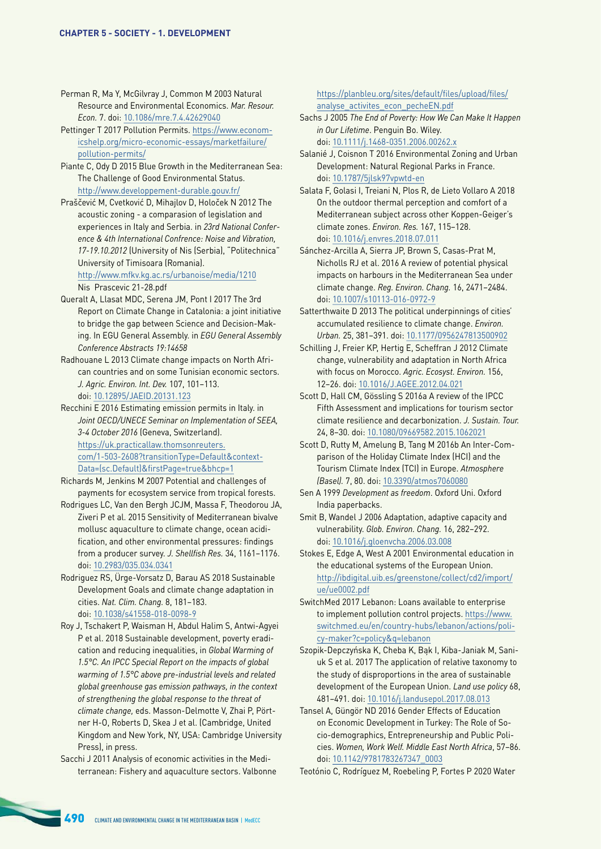- Perman R, Ma Y, McGilvray J, Common M 2003 Natural Resource and Environmental Economics. *Mar. Resour. Econ.* 7. doi: [10.1086/mre.7.4.42629040](https://doi.org/10.1086/mre.7.4.42629040)
- Pettinger T 2017 Pollution Permits. [https://www.econom](https://www.economicshelp.org/micro-economic-essays/marketfailure/pollution-permits/)[icshelp.org/micro-economic-essays/marketfailure/](https://www.economicshelp.org/micro-economic-essays/marketfailure/pollution-permits/) [pollution-permits/](https://www.economicshelp.org/micro-economic-essays/marketfailure/pollution-permits/)
- Piante C, Ody D 2015 Blue Growth in the Mediterranean Sea: The Challenge of Good Environmental Status. <http://www.developpement-durable.gouv.fr/>
- Praščević M, Cvetković D, Mihajlov D, Holoček N 2012 The acoustic zoning - a comparasion of legislation and experiences in Italy and Serbia. in *23rd National Conference & 4th International Confrence: Noise and Vibration, 17-19.10.2012* (University of Nis (Serbia), "Politechnica" University of Timisoara (Romania). <http://www.mfkv.kg.ac.rs/urbanoise/media/1210> Nis Prascevic 21-28.pdf
- Queralt A, Llasat MDC, Serena JM, Pont I 2017 The 3rd Report on Climate Change in Catalonia: a joint initiative to bridge the gap between Science and Decision-Making. In EGU General Assembly. in EGU General Assembly *Conference Abstracts 19:14658*
- Radhouane L 2013 Climate change impacts on North African countries and on some Tunisian economic sectors. *J. Agric. Environ. Int. Dev.* 107, 101–113. doi: [10.12895/JAEID.20131.123](https://doi.org/10.12895/JAEID.20131.123)
- Recchini E 2016 Estimating emission permits in Italy. in Joint OECD/UNECE Seminar on Implementation of SEEA, *3-4 October 2016* (Geneva, Switzerland). [https://uk.practicallaw.thomsonreuters.](https://uk.practicallaw.thomsonreuters.com/1-503-2608?transitionType=Default&contextData=(sc.Default)&firstPage=true&bhcp=1) [com/1-503-2608?transitionType=Default&context-](https://uk.practicallaw.thomsonreuters.com/1-503-2608?transitionType=Default&contextData=(sc.Default)&firstPage=true&bhcp=1)[Data=\(sc.Default\)&frstPage=true&bhcp=1](https://uk.practicallaw.thomsonreuters.com/1-503-2608?transitionType=Default&contextData=(sc.Default)&firstPage=true&bhcp=1)
- Richards M, Jenkins M 2007 Potential and challenges of payments for ecosystem service from tropical forests.
- Rodrigues LC, Van den Bergh JCJM, Massa F, Theodorou JA, Ziveri P et al. 2015 Sensitivity of Mediterranean bivalve mollusc aquaculture to climate change, ocean acidification, and other environmental pressures: findings from a producer survey. J. Shellfish Res. 34, 1161-1176. doi: [10.2983/035.034.0341](https://doi.org/10.2983/035.034.0341)
- Rodriguez RS, Ürge-Vorsatz D, Barau AS 2018 Sustainable Development Goals and climate change adaptation in cities. *Nat. Clim. Chang.* 8, 181–183. doi: [10.1038/s41558-018-0098-9](https://doi.org/10.1038/s41558-018-0098-9)
- Roy J, Tschakert P, Waisman H, Abdul Halim S, Antwi-Agyei P et al. 2018 Sustainable development, poverty eradication and reducing inequalities, in *Global Warming of 1.5°C. An IPCC Special Report on the impacts of global warming of 1.5°C above pre-industrial levels and related global greenhouse gas emission pathways, in the context of strengthening the global response to the threat of climate change,* eds. Masson-Delmotte V, Zhai P, Pörtner H-O, Roberts D, Skea J et al. (Cambridge, United Kingdom and New York, NY, USA: Cambridge University Press), in press.
- Sacchi J 2011 Analysis of economic activities in the Mediterranean: Fishery and aquaculture sectors. Valbonne

https://planbleu.org/sites/default/files/upload/files/ [analyse\\_activites\\_econ\\_pecheEN.pdf](https://planbleu.org/sites/default/files/upload/files/analyse_activites_econ_pecheEN.pdf)

- Sachs J 2005 *The End of Poverty: How We Can Make It Happen in Our Lifetime*. Penguin Bo. Wiley. doi: [10.1111/j.1468-0351.2006.00262.x](https://doi.org/10.1111/j.1468-0351.2006.00262.x)
- Salanié J, Coisnon T 2016 Environmental Zoning and Urban Development: Natural Regional Parks in France. doi: [10.1787/5jlsk97vpwtd-en](https://dx.doi.org/10.1787/5jlsk97vpwtd-en)
- Salata F, Golasi I, Treiani N, Plos R, de Lieto Vollaro A 2018 On the outdoor thermal perception and comfort of a Mediterranean subject across other Koppen-Geiger's climate zones. *Environ. Res.* 167, 115–128. doi: [10.1016/j.envres.2018.07.011](https://doi.org/10.1016/j.envres.2018.07.011)
- Sánchez-Arcilla A, Sierra JP, Brown S, Casas-Prat M, Nicholls RJ et al. 2016 A review of potential physical impacts on harbours in the Mediterranean Sea under climate change. *Reg. Environ. Chang.* 16, 2471–2484. doi: [10.1007/s10113-016-0972-9](https://doi.org/10.1007/s10113-016-0972-9)
- Satterthwaite D 2013 The political underpinnings of cities' accumulated resilience to climate change. *Environ.*  Urban. 25, 381–391. doi: [10.1177/0956247813500902](https://doi.org/10.1177/0956247813500902)
- Schilling J, Freier KP, Hertig E, Scheffran J 2012 Climate change, vulnerability and adaptation in North Africa with focus on Morocco. *Agric. Ecosyst. Environ.* 156, 12–26. doi: [10.1016/J.AGEE.2012.04.021](https://doi.org/10.1016/J.AGEE.2012.04.021)
- Scott D, Hall CM, Gössling S 2016a A review of the IPCC Fifth Assessment and implications for tourism sector climate resilience and decarbonization. *J. Sustain. Tour.* 24, 8–30. doi: [10.1080/09669582.2015.1062021](https://doi.org/10.1080/09669582.2015.1062021)
- Scott D, Rutty M, Amelung B, Tang M 2016b An Inter-Comparison of the Holiday Climate Index (HCI) and the Tourism Climate Index (TCI) in Europe. *Atmosphere (Basel).* 7, 80. doi: [10.3390/atmos7060080](https://doi.org/10.3390/atmos7060080)
- Sen A 1999 *Development as freedom*. Oxford Uni. Oxford India paperbacks.
- Smit B, Wandel J 2006 Adaptation, adaptive capacity and vulnerability. *Glob. Environ. Chang.* 16, 282–292. doi: [10.1016/j.gloenvcha.2006.03.008](https://doi.org/10.1016/j.gloenvcha.2006.03.008)
- Stokes E, Edge A, West A 2001 Environmental education in the educational systems of the European Union. [http://ibdigital.uib.es/greenstone/collect/cd2/import/](http://ibdigital.uib.es/greenstone/collect/cd2/import/ue/ue0002.pdf) [ue/ue0002.pdf](http://ibdigital.uib.es/greenstone/collect/cd2/import/ue/ue0002.pdf)
- SwitchMed 2017 Lebanon: Loans available to enterprise to implement pollution control projects. [https://www.](https://www.switchmed.eu/en/country-hubs/lebanon/actions/policy-maker?c=policy&q=lebanon) [switchmed.eu/en/country-hubs/lebanon/actions/poli](https://www.switchmed.eu/en/country-hubs/lebanon/actions/policy-maker?c=policy&q=lebanon)[cy-maker?c=policy&q=lebanon](https://www.switchmed.eu/en/country-hubs/lebanon/actions/policy-maker?c=policy&q=lebanon)
- Szopik-Depczyńska K, Cheba K, Bąk I, Kiba-Janiak M, Saniuk S et al. 2017 The application of relative taxonomy to the study of disproportions in the area of sustainable development of the European Union. *Land use policy* 68, 481–491. doi: [10.1016/j.landusepol.2017.08.013](https://doi.org/10.1016/j.landusepol.2017.08.013)
- Tansel A, Güngör ND 2016 Gender Effects of Education on Economic Development in Turkey: The Role of Socio-demographics, Entrepreneurship and Public Policies. *Women, Work Welf. Middle East North Africa*, 57–86. doi: [10.1142/9781783267347\\_0003](https://doi.org/10.1142/9781783267347_0003)
- Teotónio C, Rodríguez M, Roebeling P, Fortes P 2020 Water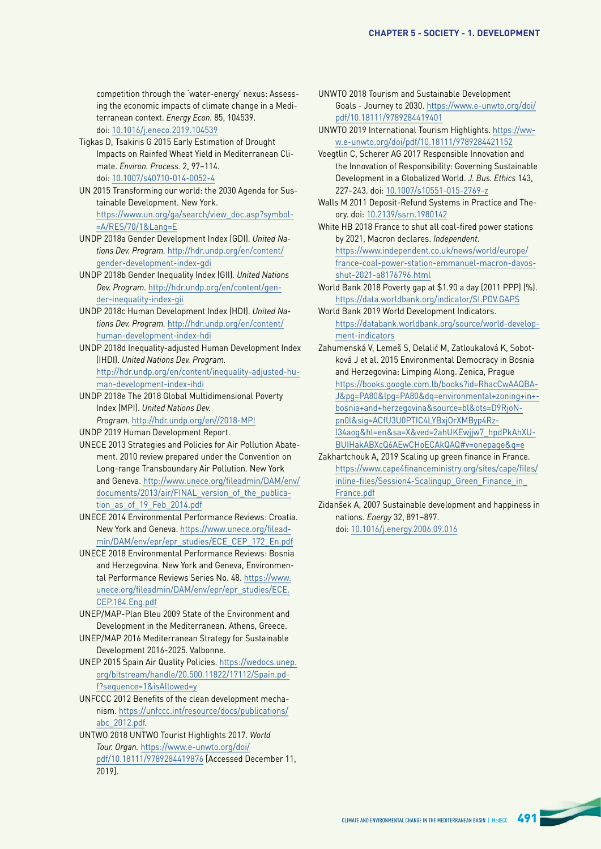competition through the 'water-energy' nexus: Assessing the economic impacts of climate change in a Mediterranean context. *Energy Econ.* 85, 104539. doi: [10.1016/j.eneco.2019.104539](https://doi.org/10.1016/j.eneco.2019.104539)

Tigkas D, Tsakiris G 2015 Early Estimation of Drought Impacts on Rainfed Wheat Yield in Mediterranean Climate. *Environ. Process.* 2, 97–114. doi: [10.1007/s40710-014-0052-4](https://doi.org/10.1007/s40710-014-0052-4)

 UN 2015 Transforming our world: the 2030 Agenda for Sustainable Development. New York. [https://www.un.org/ga/search/view\\_doc.asp?symbol-](https://www.un.org/ga/search/view_doc.asp?symbol=A/RES/70/1&Lang=E) [=A/RES/70/1&Lang=E](https://www.un.org/ga/search/view_doc.asp?symbol=A/RES/70/1&Lang=E)

- UNDP 2018a Gender Development Index (GDI). United Na*tions Dev. Program.* [http://hdr.undp.org/en/content/](http://hdr.undp.org/en/content/gender-development-index-gdi) [gender-development-index-gdi](http://hdr.undp.org/en/content/gender-development-index-gdi)
- UNDP 2018b Gender Inequality Index (GII). United Nations *Dev. Program.* [http://hdr.undp.org/en/content/gen](http://hdr.undp.org/en/content/gender-inequality-index-gii)[der-inequality-index-gii](http://hdr.undp.org/en/content/gender-inequality-index-gii)
- UNDP 2018c Human Development Index (HDI). United Na*tions Dev. Program.* [http://hdr.undp.org/en/content/](http://hdr.undp.org/en/content/human-development-index-hdi) [human-development-index-hdi](http://hdr.undp.org/en/content/human-development-index-hdi)

UNDP 2018d Inequality-adjusted Human Development Index (IHDI). United Nations Dev. Program. [http://hdr.undp.org/en/content/inequality-adjusted-hu-](http://hdr.undp.org/en/content/inequality-adjusted-human-development-index-ihdi)

[man-development-index-ihdi](http://hdr.undp.org/en/content/inequality-adjusted-human-development-index-ihdi) UNDP 2018e The 2018 Global Multidimensional Poverty Index (MPI). United Nations Dev.

*Program.* <http://hdr.undp.org/en//2018-MPI>

UNDP 2019 Human Development Report.

- UNECE 2013 Strategies and Policies for Air Pollution Abatement. 2010 review prepared under the Convention on Long-range Transboundary Air Pollution. New York and Geneva. [http://www.unece.org/fleadmin/DAM/env/](http://www.unece.org/fileadmin/DAM/env/documents/2013/air/FINAL_version_of_the_publication_as_of_19_Feb_2014.pdf) [documents/2013/air/FINAL\\_version\\_of\\_the\\_publica](http://www.unece.org/fileadmin/DAM/env/documents/2013/air/FINAL_version_of_the_publication_as_of_19_Feb_2014.pdf)[tion\\_as\\_of\\_19\\_Feb\\_2014.pdf](http://www.unece.org/fileadmin/DAM/env/documents/2013/air/FINAL_version_of_the_publication_as_of_19_Feb_2014.pdf)
- UNECE 2014 Environmental Performance Reviews: Croatia. New York and Geneva. [https://www.unece.org/flead](https://www.unece.org/fileadmin/DAM/env/epr/epr_studies/ECE_CEP_172_En.pdf)[min/DAM/env/epr/epr\\_studies/ECE\\_CEP\\_172\\_En.pdf](https://www.unece.org/fileadmin/DAM/env/epr/epr_studies/ECE_CEP_172_En.pdf)

UNECE 2018 Environmental Performance Reviews: Bosnia and Herzegovina. New York and Geneva, Environmental Performance Reviews Series No. 48. [https://www.](https://www.unece.org/fileadmin/DAM/env/epr/epr_studies/ECE.CEP.184.Eng.pdf) [unece.org/fleadmin/DAM/env/epr/epr\\_studies/ECE.](https://www.unece.org/fileadmin/DAM/env/epr/epr_studies/ECE.CEP.184.Eng.pdf) [CEP.184.Eng.pdf](https://www.unece.org/fileadmin/DAM/env/epr/epr_studies/ECE.CEP.184.Eng.pdf)

UNEP/MAP-Plan Bleu 2009 State of the Environment and Development in the Mediterranean. Athens, Greece.

- UNEP/MAP 2016 Mediterranean Strategy for Sustainable Development 2016-2025. Valbonne.
- UNEP 2015 Spain Air Quality Policies. [https://wedocs.unep.](https://wedocs.unep.org/bitstream/handle/20.500.11822/17112/Spain.pdf?sequence=1&isAllowed=y) [org/bitstream/handle/20.500.11822/17112/Spain.pd](https://wedocs.unep.org/bitstream/handle/20.500.11822/17112/Spain.pdf?sequence=1&isAllowed=y)[f?sequence=1&isAllowed=y](https://wedocs.unep.org/bitstream/handle/20.500.11822/17112/Spain.pdf?sequence=1&isAllowed=y)
- UNFCCC 2012 Benefts of the clean development mechanism. [https://unfccc.int/resource/docs/publications/](https://unfccc.int/resource/docs/publications/abc_2012.pdf) [abc\\_2012.pdf.](https://unfccc.int/resource/docs/publications/abc_2012.pdf)

UNTWO 2018 UNTWO Tourist Highlights 2017. *World Tour. Organ.* [https://www.e-unwto.org/doi/](https://www.e-unwto.org/doi/pdf/10.18111/9789284419876) [pdf/10.18111/9789284419876](https://www.e-unwto.org/doi/pdf/10.18111/9789284419876) [Accessed December 11, 2019].

 UNWTO 2018 Tourism and Sustainable Development Goals - Journey to 2030. [https://www.e-unwto.org/doi/](https://www.e-unwto.org/doi/pdf/10.18111/9789284419401) [pdf/10.18111/9789284419401](https://www.e-unwto.org/doi/pdf/10.18111/9789284419401)

UNWTO 2019 International Tourism Highlights. [https://ww](https://www.e-unwto.org/doi/pdf/10.18111/9789284421152)[w.e-unwto.org/doi/pdf/10.18111/9789284421152](https://www.e-unwto.org/doi/pdf/10.18111/9789284421152)

Voegtlin C, Scherer AG 2017 Responsible Innovation and the Innovation of Responsibility: Governing Sustainable Development in a Globalized World. *J. Bus. Ethics* 143, 227–243. doi: [10.1007/s10551-015-2769-z](https://doi.org/10.1007/s10551-015-2769-z)

Walls M 2011 Deposit-Refund Systems in Practice and Theory. doi: [10.2139/ssrn.1980142](https://doi.org/10.2139/ssrn.1980142)

White HB 2018 France to shut all coal-fired power stations by 2021, Macron declares. *Independent*. [https://www.independent.co.uk/news/world/europe/](https://www.independent.co.uk/news/world/europe/france-coal-power-station-emmanuel-macron-davos-shut-2021-a8176796.html) [france-coal-power-station-emmanuel-macron-davos](https://www.independent.co.uk/news/world/europe/france-coal-power-station-emmanuel-macron-davos-shut-2021-a8176796.html)[shut-2021-a8176796.html](https://www.independent.co.uk/news/world/europe/france-coal-power-station-emmanuel-macron-davos-shut-2021-a8176796.html)

 World Bank 2018 Poverty gap at \$1.90 a day (2011 PPP) (%). <https://data.worldbank.org/indicator/SI.POV.GAPS>

World Bank 2019 World Development Indicators. [https://databank.worldbank.org/source/world-develop](https://databank.worldbank.org/source/world-development-indicators)[ment-indicators](https://databank.worldbank.org/source/world-development-indicators)

- Zahumenská V, Lemeš S, Delalić M, Zatloukalová K, Sobotková J et al. 2015 Environmental Democracy in Bosnia and Herzegovina: Limping Along. Zenica, Prague [https://books.google.com.lb/books?id=RhacCwAAQBA-](https://books.google.com.lb/books?id=RhacCwAAQBAJ&pg=PA80&lpg=PA80&dq=environmental+zoning+in+bosnia+and+herzegovina&source=bl&ots=D9RjoNpn0l&sig=ACfU3U0PTIC4LYBxjOrXMByp4Rzl34aog&hl=en&sa=X&ved=2ahUKEwjjw7_hpdPkAhXUBUIHakABXcQ6AEwCHoECAkQAQ#v=onepage&q=e)[J&pg=PA80&lpg=PA80&dq=environmental+zoning+in+](https://books.google.com.lb/books?id=RhacCwAAQBAJ&pg=PA80&lpg=PA80&dq=environmental+zoning+in+bosnia+and+herzegovina&source=bl&ots=D9RjoNpn0l&sig=ACfU3U0PTIC4LYBxjOrXMByp4Rzl34aog&hl=en&sa=X&ved=2ahUKEwjjw7_hpdPkAhXUBUIHakABXcQ6AEwCHoECAkQAQ#v=onepage&q=e) [bosnia+and+herzegovina&source=bl&ots=D9RjoN](https://books.google.com.lb/books?id=RhacCwAAQBAJ&pg=PA80&lpg=PA80&dq=environmental+zoning+in+bosnia+and+herzegovina&source=bl&ots=D9RjoNpn0l&sig=ACfU3U0PTIC4LYBxjOrXMByp4Rzl34aog&hl=en&sa=X&ved=2ahUKEwjjw7_hpdPkAhXUBUIHakABXcQ6AEwCHoECAkQAQ#v=onepage&q=e)[pn0l&sig=ACfU3U0PTIC4LYBxjOrXMByp4Rz](https://books.google.com.lb/books?id=RhacCwAAQBAJ&pg=PA80&lpg=PA80&dq=environmental+zoning+in+bosnia+and+herzegovina&source=bl&ots=D9RjoNpn0l&sig=ACfU3U0PTIC4LYBxjOrXMByp4Rzl34aog&hl=en&sa=X&ved=2ahUKEwjjw7_hpdPkAhXUBUIHakABXcQ6AEwCHoECAkQAQ#v=onepage&q=e)[l34aog&hl=en&sa=X&ved=2ahUKEwjjw7\\_hpdPkAhXU-](https://books.google.com.lb/books?id=RhacCwAAQBAJ&pg=PA80&lpg=PA80&dq=environmental+zoning+in+bosnia+and+herzegovina&source=bl&ots=D9RjoNpn0l&sig=ACfU3U0PTIC4LYBxjOrXMByp4Rzl34aog&hl=en&sa=X&ved=2ahUKEwjjw7_hpdPkAhXUBUIHakABXcQ6AEwCHoECAkQAQ#v=onepage&q=e)[BUIHakABXcQ6AEwCHoECAkQAQ#v=onepage&q=e](https://books.google.com.lb/books?id=RhacCwAAQBAJ&pg=PA80&lpg=PA80&dq=environmental+zoning+in+bosnia+and+herzegovina&source=bl&ots=D9RjoNpn0l&sig=ACfU3U0PTIC4LYBxjOrXMByp4Rzl34aog&hl=en&sa=X&ved=2ahUKEwjjw7_hpdPkAhXUBUIHakABXcQ6AEwCHoECAkQAQ#v=onepage&q=e)
- Zakhartchouk A, 2019 Scaling up green fnance in France. [https://www.cape4fnanceministry.org/sites/cape/fles/](https://www.financeministersforclimate.org/sites/cape/files/inline-files/Session%204%20-%20Scalingup%20Green%20Finance%20in%20France.pdf) inline-files/Session4-Scalingup Green Finance in France.pdf
- Zidanšek A, 2007 Sustainable development and happiness in nations. *Energy* 32, 891–897. doi: [10.1016/j.energy.2006.09.016](https:/doi.org/10.1016/j.energy.2006.09.016)

CLIMATE AND ENVIRONMENTAL CHANGE IN THE MEDITERRANEAN BASIN | MedECC 491